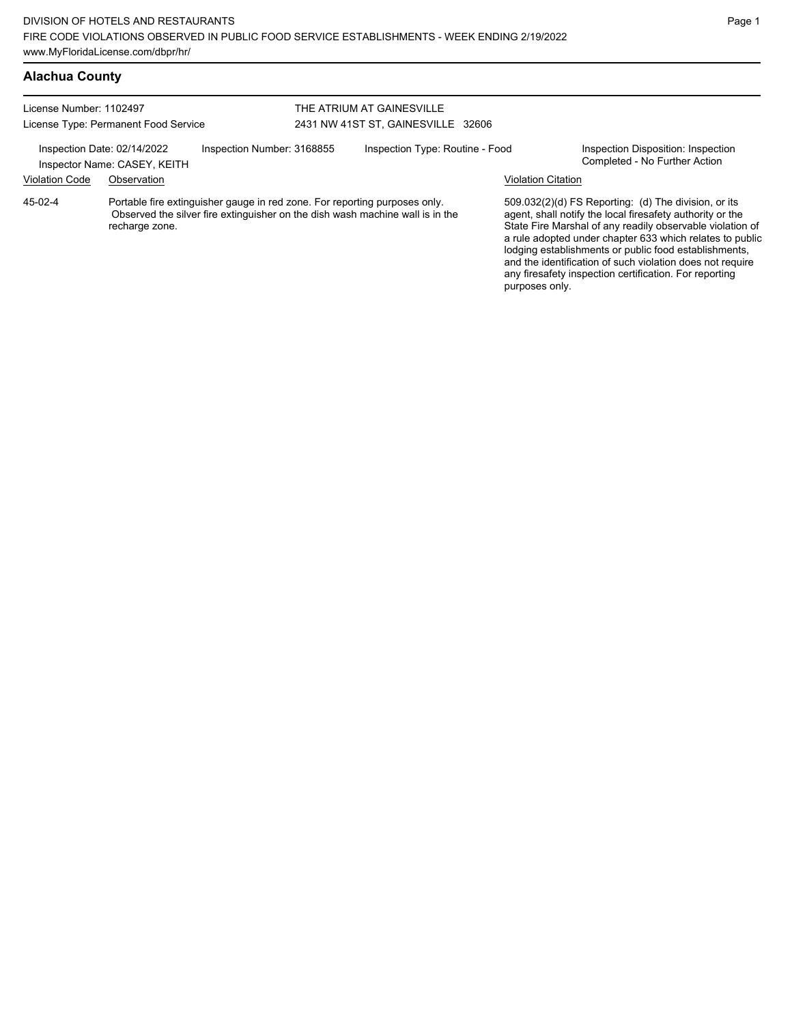## **Alachua County**

| License Number: 1102497                                                                   |                | THE ATRIUM AT GAINESVILLE                                                  |                                    |                                                                               |                           |                                                                                                                                                                                                                                                                                                                                                                                                                            |
|-------------------------------------------------------------------------------------------|----------------|----------------------------------------------------------------------------|------------------------------------|-------------------------------------------------------------------------------|---------------------------|----------------------------------------------------------------------------------------------------------------------------------------------------------------------------------------------------------------------------------------------------------------------------------------------------------------------------------------------------------------------------------------------------------------------------|
| License Type: Permanent Food Service                                                      |                |                                                                            | 2431 NW 41ST ST, GAINESVILLE 32606 |                                                                               |                           |                                                                                                                                                                                                                                                                                                                                                                                                                            |
| Inspection Date: 02/14/2022<br>Inspection Number: 3168855<br>Inspector Name: CASEY, KEITH |                | Inspection Type: Routine - Food                                            |                                    | Inspection Disposition: Inspection<br>Completed - No Further Action           |                           |                                                                                                                                                                                                                                                                                                                                                                                                                            |
| <b>Violation Code</b>                                                                     | Observation    |                                                                            |                                    |                                                                               | <b>Violation Citation</b> |                                                                                                                                                                                                                                                                                                                                                                                                                            |
| 45-02-4                                                                                   | recharge zone. | Portable fire extinguisher gauge in red zone. For reporting purposes only. |                                    | Observed the silver fire extinguisher on the dish wash machine wall is in the |                           | 509.032(2)(d) FS Reporting: (d) The division, or its<br>agent, shall notify the local firesafety authority or the<br>State Fire Marshal of any readily observable violation of<br>a rule adopted under chapter 633 which relates to public<br>lodging establishments or public food establishments,<br>and the identification of such violation does not require<br>any firesafety inspection certification. For reporting |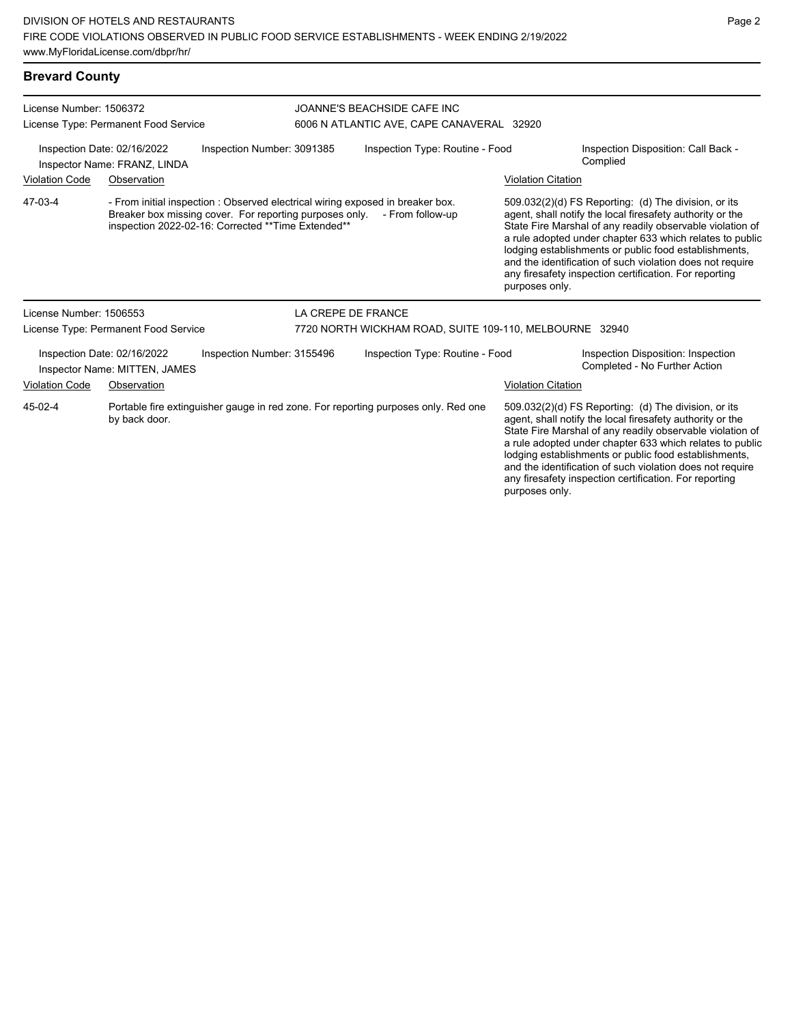| <b>Brevard County</b>   |                                                              |                                                                                                                |                                                                                                    |                           |                                                                                                                                                                                                                                                                                                                                                                                                                            |
|-------------------------|--------------------------------------------------------------|----------------------------------------------------------------------------------------------------------------|----------------------------------------------------------------------------------------------------|---------------------------|----------------------------------------------------------------------------------------------------------------------------------------------------------------------------------------------------------------------------------------------------------------------------------------------------------------------------------------------------------------------------------------------------------------------------|
| License Number: 1506372 | License Type: Permanent Food Service                         |                                                                                                                | JOANNE'S BEACHSIDE CAFE INC<br>6006 N ATLANTIC AVE, CAPE CANAVERAL 32920                           |                           |                                                                                                                                                                                                                                                                                                                                                                                                                            |
|                         |                                                              |                                                                                                                |                                                                                                    |                           |                                                                                                                                                                                                                                                                                                                                                                                                                            |
|                         | Inspection Date: 02/16/2022<br>Inspector Name: FRANZ, LINDA  | Inspection Number: 3091385                                                                                     | Inspection Type: Routine - Food                                                                    |                           | Inspection Disposition: Call Back -<br>Complied                                                                                                                                                                                                                                                                                                                                                                            |
| <b>Violation Code</b>   | Observation                                                  |                                                                                                                |                                                                                                    | <b>Violation Citation</b> |                                                                                                                                                                                                                                                                                                                                                                                                                            |
| 47-03-4                 |                                                              | Breaker box missing cover. For reporting purposes only.<br>inspection 2022-02-16: Corrected ** Time Extended** | - From initial inspection : Observed electrical wiring exposed in breaker box.<br>- From follow-up | purposes only.            | 509.032(2)(d) FS Reporting: (d) The division, or its<br>agent, shall notify the local firesafety authority or the<br>State Fire Marshal of any readily observable violation of<br>a rule adopted under chapter 633 which relates to public<br>lodging establishments or public food establishments,<br>and the identification of such violation does not require<br>any firesafety inspection certification. For reporting |
| License Number: 1506553 |                                                              |                                                                                                                | LA CREPE DE FRANCE                                                                                 |                           |                                                                                                                                                                                                                                                                                                                                                                                                                            |
|                         | License Type: Permanent Food Service                         |                                                                                                                | 7720 NORTH WICKHAM ROAD, SUITE 109-110, MELBOURNE 32940                                            |                           |                                                                                                                                                                                                                                                                                                                                                                                                                            |
|                         | Inspection Date: 02/16/2022<br>Inspector Name: MITTEN, JAMES | Inspection Number: 3155496                                                                                     | Inspection Type: Routine - Food                                                                    |                           | Inspection Disposition: Inspection<br>Completed - No Further Action                                                                                                                                                                                                                                                                                                                                                        |
| <b>Violation Code</b>   | Observation                                                  |                                                                                                                |                                                                                                    | <b>Violation Citation</b> |                                                                                                                                                                                                                                                                                                                                                                                                                            |
| 45-02-4                 | by back door.                                                |                                                                                                                | Portable fire extinguisher gauge in red zone. For reporting purposes only. Red one                 |                           | 509.032(2)(d) FS Reporting: (d) The division, or its<br>agent, shall notify the local firesafety authority or the<br>State Fire Marshal of any readily observable violation of                                                                                                                                                                                                                                             |

State Fire Marshal of any readily observable violation of a rule adopted under chapter 633 which relates to public lodging establishments or public food establishments, and the identification of such violation does not require any firesafety inspection certification. For reporting purposes only.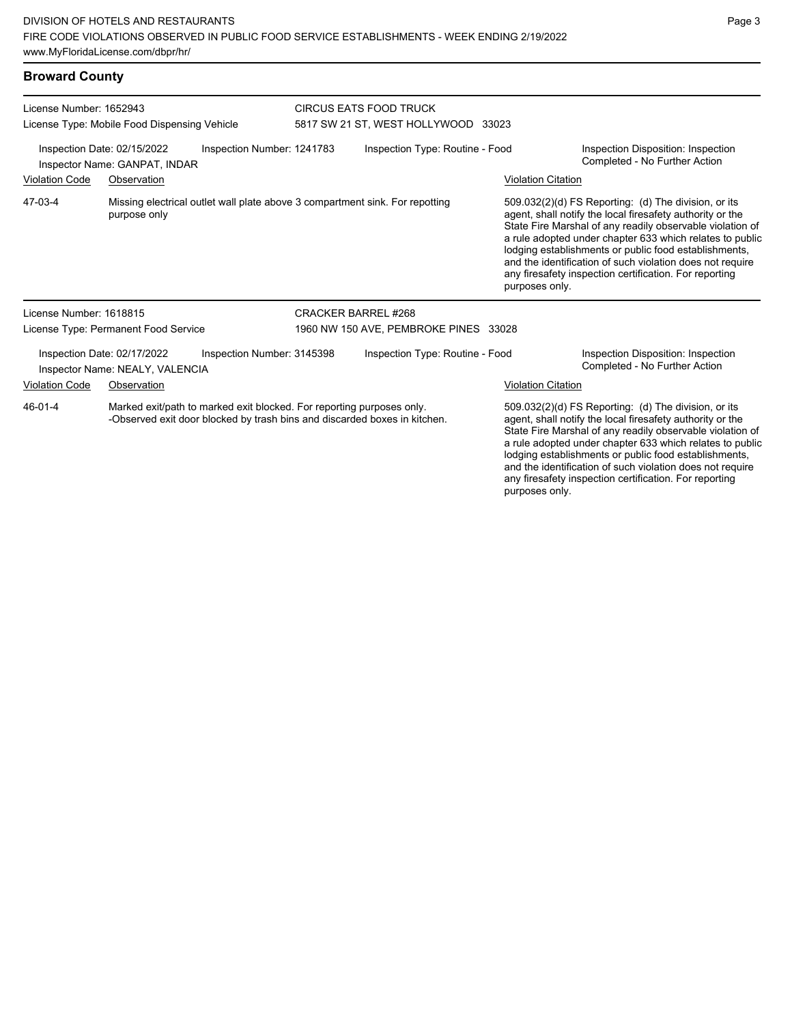#### **Broward County**

| License Number: 1652943<br>License Type: Mobile Food Dispensing Vehicle                    |                                                                | <b>CIRCUS EATS FOOD TRUCK</b><br>5817 SW 21 ST, WEST HOLLYWOOD 33023                                                                               |                                                                              |                           |                                                                                                                                                                                                                                                                                                                                                                                                                            |
|--------------------------------------------------------------------------------------------|----------------------------------------------------------------|----------------------------------------------------------------------------------------------------------------------------------------------------|------------------------------------------------------------------------------|---------------------------|----------------------------------------------------------------------------------------------------------------------------------------------------------------------------------------------------------------------------------------------------------------------------------------------------------------------------------------------------------------------------------------------------------------------------|
| Inspection Date: 02/15/2022<br>Inspection Number: 1241783<br>Inspector Name: GANPAT, INDAR |                                                                |                                                                                                                                                    | Inspection Type: Routine - Food                                              |                           | Inspection Disposition: Inspection<br>Completed - No Further Action                                                                                                                                                                                                                                                                                                                                                        |
| <b>Violation Code</b>                                                                      | Observation                                                    |                                                                                                                                                    |                                                                              | <b>Violation Citation</b> |                                                                                                                                                                                                                                                                                                                                                                                                                            |
| 47-03-4                                                                                    | purpose only                                                   |                                                                                                                                                    | Missing electrical outlet wall plate above 3 compartment sink. For repotting | purposes only.            | 509.032(2)(d) FS Reporting: (d) The division, or its<br>agent, shall notify the local firesafety authority or the<br>State Fire Marshal of any readily observable violation of<br>a rule adopted under chapter 633 which relates to public<br>lodging establishments or public food establishments,<br>and the identification of such violation does not require<br>any firesafety inspection certification. For reporting |
| License Number: 1618815                                                                    |                                                                |                                                                                                                                                    | <b>CRACKER BARREL #268</b>                                                   |                           |                                                                                                                                                                                                                                                                                                                                                                                                                            |
|                                                                                            | License Type: Permanent Food Service                           |                                                                                                                                                    | 1960 NW 150 AVE, PEMBROKE PINES 33028                                        |                           |                                                                                                                                                                                                                                                                                                                                                                                                                            |
|                                                                                            | Inspection Date: 02/17/2022<br>Inspector Name: NEALY, VALENCIA | Inspection Number: 3145398                                                                                                                         | Inspection Type: Routine - Food                                              |                           | Inspection Disposition: Inspection<br>Completed - No Further Action                                                                                                                                                                                                                                                                                                                                                        |
| <b>Violation Code</b>                                                                      | Observation                                                    |                                                                                                                                                    |                                                                              | <b>Violation Citation</b> |                                                                                                                                                                                                                                                                                                                                                                                                                            |
| 46-01-4                                                                                    |                                                                | Marked exit/path to marked exit blocked. For reporting purposes only.<br>-Observed exit door blocked by trash bins and discarded boxes in kitchen. |                                                                              |                           | 509.032(2)(d) FS Reporting: (d) The division, or its<br>agent, shall notify the local firesafety authority or the<br>State Fire Marshal of any readily observable violation of<br>a rule adopted under chapter 633 which relates to public<br>lodging establishments or public food establishments,<br>and the identification of such violation does not require                                                           |

any firesafety inspection certification. For reporting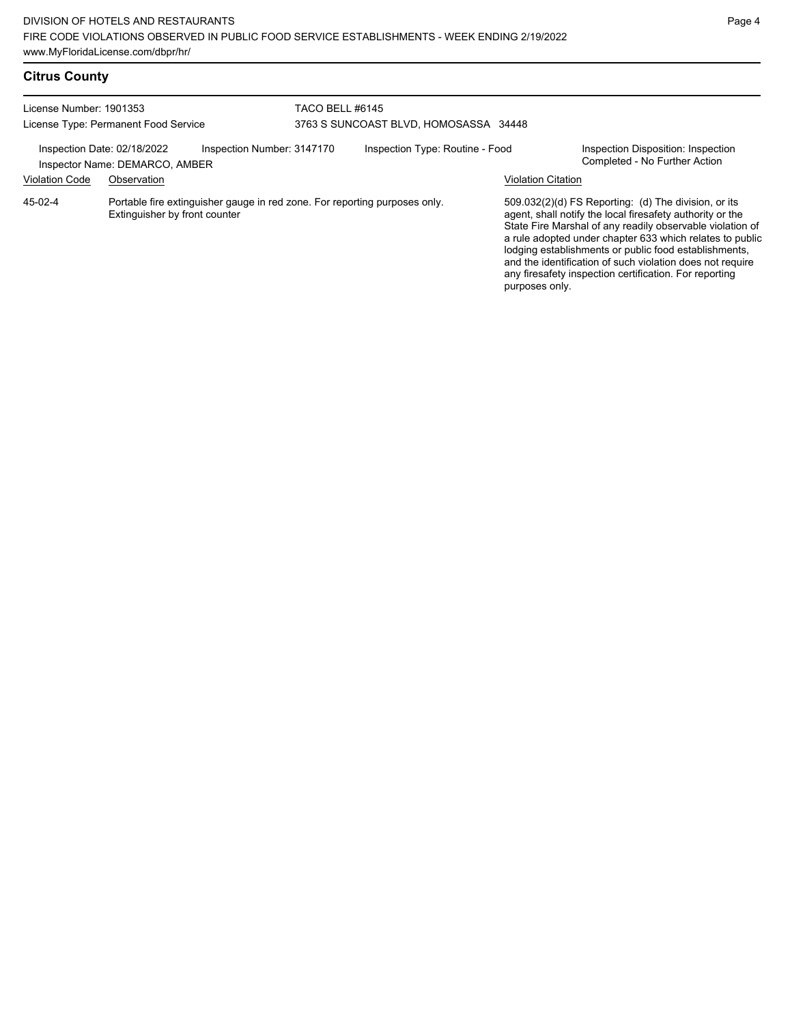# **Citrus County**

| License Number: 1901353<br>License Type: Permanent Food Service |                                                                                                             | TACO BELL #6145<br>3763 S SUNCOAST BLVD, HOMOSASSA 34448 |                                 |                           |                                                                                                                                                                                                                                                                                                                                                                                                                            |
|-----------------------------------------------------------------|-------------------------------------------------------------------------------------------------------------|----------------------------------------------------------|---------------------------------|---------------------------|----------------------------------------------------------------------------------------------------------------------------------------------------------------------------------------------------------------------------------------------------------------------------------------------------------------------------------------------------------------------------------------------------------------------------|
| Inspection Date: 02/18/2022                                     | Inspection Number: 3147170<br>Inspector Name: DEMARCO, AMBER                                                |                                                          | Inspection Type: Routine - Food |                           | Inspection Disposition: Inspection<br>Completed - No Further Action                                                                                                                                                                                                                                                                                                                                                        |
| <b>Violation Code</b>                                           | Observation                                                                                                 |                                                          |                                 | <b>Violation Citation</b> |                                                                                                                                                                                                                                                                                                                                                                                                                            |
| 45-02-4                                                         | Portable fire extinguisher gauge in red zone. For reporting purposes only.<br>Extinguisher by front counter |                                                          |                                 | purposes only.            | 509.032(2)(d) FS Reporting: (d) The division, or its<br>agent, shall notify the local firesafety authority or the<br>State Fire Marshal of any readily observable violation of<br>a rule adopted under chapter 633 which relates to public<br>lodging establishments or public food establishments,<br>and the identification of such violation does not require<br>any firesafety inspection certification. For reporting |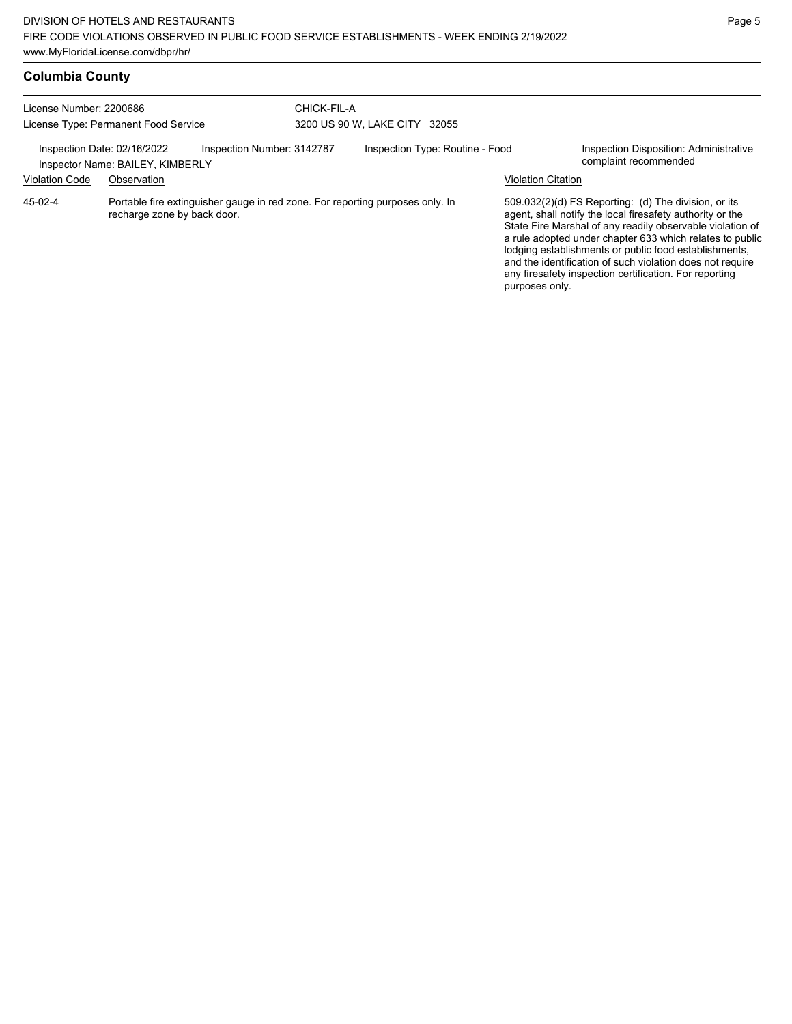| <b>Columbia County</b> |  |
|------------------------|--|
|------------------------|--|

| License Number: 2200686<br>License Type: Permanent Food Service |                                                                 | CHICK-FIL-A                                                                   | 3200 US 90 W, LAKE CITY 32055 |                                 |                           |                                                                                                                                                                                                                                                                                                                                                                                                                            |
|-----------------------------------------------------------------|-----------------------------------------------------------------|-------------------------------------------------------------------------------|-------------------------------|---------------------------------|---------------------------|----------------------------------------------------------------------------------------------------------------------------------------------------------------------------------------------------------------------------------------------------------------------------------------------------------------------------------------------------------------------------------------------------------------------------|
|                                                                 | Inspection Date: 02/16/2022<br>Inspector Name: BAILEY, KIMBERLY | Inspection Number: 3142787                                                    |                               | Inspection Type: Routine - Food |                           | Inspection Disposition: Administrative<br>complaint recommended                                                                                                                                                                                                                                                                                                                                                            |
| <b>Violation Code</b>                                           | Observation                                                     |                                                                               |                               |                                 | <b>Violation Citation</b> |                                                                                                                                                                                                                                                                                                                                                                                                                            |
| 45-02-4                                                         | recharge zone by back door.                                     | Portable fire extinguisher gauge in red zone. For reporting purposes only. In |                               |                                 | purposes only.            | 509.032(2)(d) FS Reporting: (d) The division, or its<br>agent, shall notify the local firesafety authority or the<br>State Fire Marshal of any readily observable violation of<br>a rule adopted under chapter 633 which relates to public<br>lodging establishments or public food establishments,<br>and the identification of such violation does not require<br>any firesafety inspection certification. For reporting |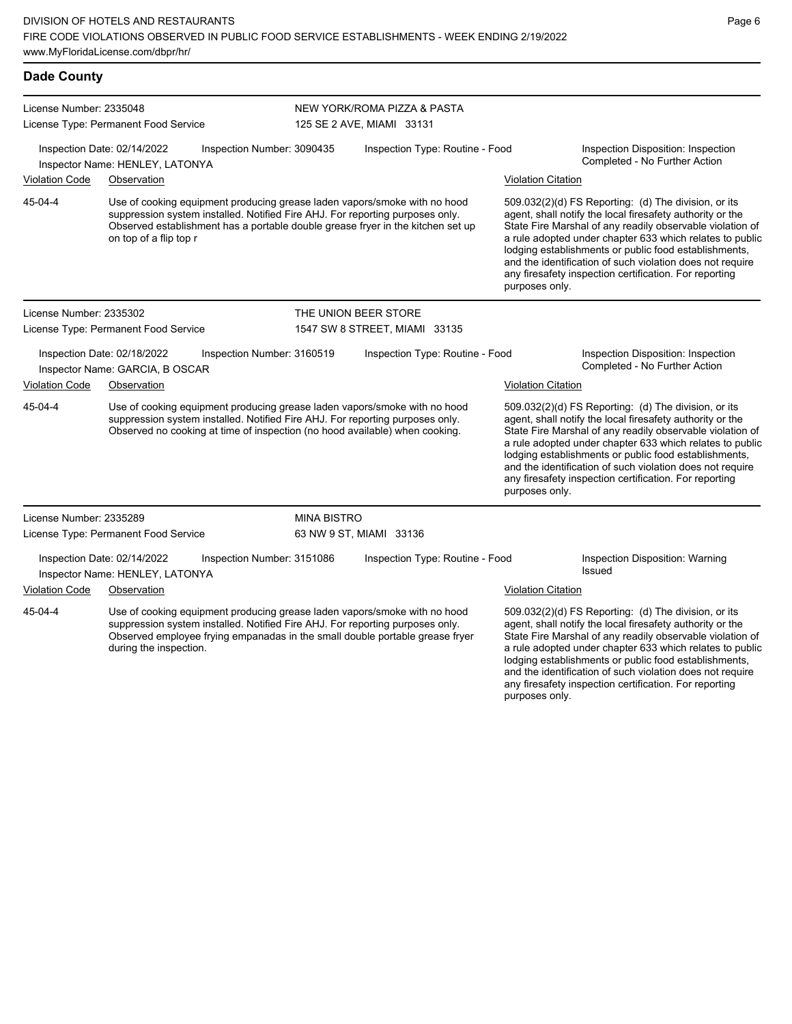| <b>Dade County</b>      |                                                                                                                                                                                                                                                                         |                            |                                 |                           |                                                                                                                                                                                                                                                                                                                                                                                                                            |
|-------------------------|-------------------------------------------------------------------------------------------------------------------------------------------------------------------------------------------------------------------------------------------------------------------------|----------------------------|---------------------------------|---------------------------|----------------------------------------------------------------------------------------------------------------------------------------------------------------------------------------------------------------------------------------------------------------------------------------------------------------------------------------------------------------------------------------------------------------------------|
| License Number: 2335048 |                                                                                                                                                                                                                                                                         |                            | NEW YORK/ROMA PIZZA & PASTA     |                           |                                                                                                                                                                                                                                                                                                                                                                                                                            |
|                         | License Type: Permanent Food Service                                                                                                                                                                                                                                    |                            | 125 SE 2 AVE, MIAMI 33131       |                           |                                                                                                                                                                                                                                                                                                                                                                                                                            |
|                         | Inspection Date: 02/14/2022<br>Inspector Name: HENLEY, LATONYA                                                                                                                                                                                                          | Inspection Number: 3090435 | Inspection Type: Routine - Food |                           | Inspection Disposition: Inspection<br>Completed - No Further Action                                                                                                                                                                                                                                                                                                                                                        |
| Violation Code          | Observation                                                                                                                                                                                                                                                             |                            |                                 | <b>Violation Citation</b> |                                                                                                                                                                                                                                                                                                                                                                                                                            |
| 45-04-4                 | Use of cooking equipment producing grease laden vapors/smoke with no hood<br>suppression system installed. Notified Fire AHJ. For reporting purposes only.<br>Observed establishment has a portable double grease fryer in the kitchen set up<br>on top of a flip top r |                            |                                 | purposes only.            | 509.032(2)(d) FS Reporting: (d) The division, or its<br>agent, shall notify the local firesafety authority or the<br>State Fire Marshal of any readily observable violation of<br>a rule adopted under chapter 633 which relates to public<br>lodging establishments or public food establishments,<br>and the identification of such violation does not require<br>any firesafety inspection certification. For reporting |
| License Number: 2335302 |                                                                                                                                                                                                                                                                         |                            | THE UNION BEER STORE            |                           |                                                                                                                                                                                                                                                                                                                                                                                                                            |
|                         | License Type: Permanent Food Service                                                                                                                                                                                                                                    |                            | 1547 SW 8 STREET, MIAMI 33135   |                           |                                                                                                                                                                                                                                                                                                                                                                                                                            |
|                         | Inspection Date: 02/18/2022<br>Inspector Name: GARCIA, B OSCAR                                                                                                                                                                                                          | Inspection Number: 3160519 | Inspection Type: Routine - Food |                           | Inspection Disposition: Inspection<br>Completed - No Further Action                                                                                                                                                                                                                                                                                                                                                        |
| Violation Code          | Observation                                                                                                                                                                                                                                                             |                            |                                 | <b>Violation Citation</b> |                                                                                                                                                                                                                                                                                                                                                                                                                            |
| 45-04-4                 | Use of cooking equipment producing grease laden vapors/smoke with no hood<br>suppression system installed. Notified Fire AHJ. For reporting purposes only.<br>Observed no cooking at time of inspection (no hood available) when cooking.                               |                            |                                 | purposes only.            | 509.032(2)(d) FS Reporting: (d) The division, or its<br>agent, shall notify the local firesafety authority or the<br>State Fire Marshal of any readily observable violation of<br>a rule adopted under chapter 633 which relates to public<br>lodging establishments or public food establishments,<br>and the identification of such violation does not require<br>any firesafety inspection certification. For reporting |
| License Number: 2335289 |                                                                                                                                                                                                                                                                         | <b>MINA BISTRO</b>         |                                 |                           |                                                                                                                                                                                                                                                                                                                                                                                                                            |
|                         | License Type: Permanent Food Service                                                                                                                                                                                                                                    |                            | 63 NW 9 ST, MIAMI 33136         |                           |                                                                                                                                                                                                                                                                                                                                                                                                                            |
|                         | Inspection Date: 02/14/2022<br>Inspector Name: HENLEY, LATONYA                                                                                                                                                                                                          | Inspection Number: 3151086 | Inspection Type: Routine - Food |                           | Inspection Disposition: Warning<br>Issued                                                                                                                                                                                                                                                                                                                                                                                  |
| Violation Code          | Observation                                                                                                                                                                                                                                                             |                            |                                 | <b>Violation Citation</b> |                                                                                                                                                                                                                                                                                                                                                                                                                            |
| 45-04-4                 | Use of cooking equipment producing grease laden vapors/smoke with no hood<br>suppression system installed. Notified Fire AHJ. For reporting purposes only.<br>Observed employee frying empanadas in the small double portable grease fryer<br>during the inspection.    |                            |                                 |                           | 509.032(2)(d) FS Reporting: (d) The division, or its<br>agent, shall notify the local firesafety authority or the<br>State Fire Marshal of any readily observable violation of<br>a rule adopted under chapter 633 which relates to public<br>lodging establishments or public food establishments,                                                                                                                        |

and the identification of such violation does not require any firesafety inspection certification. For reporting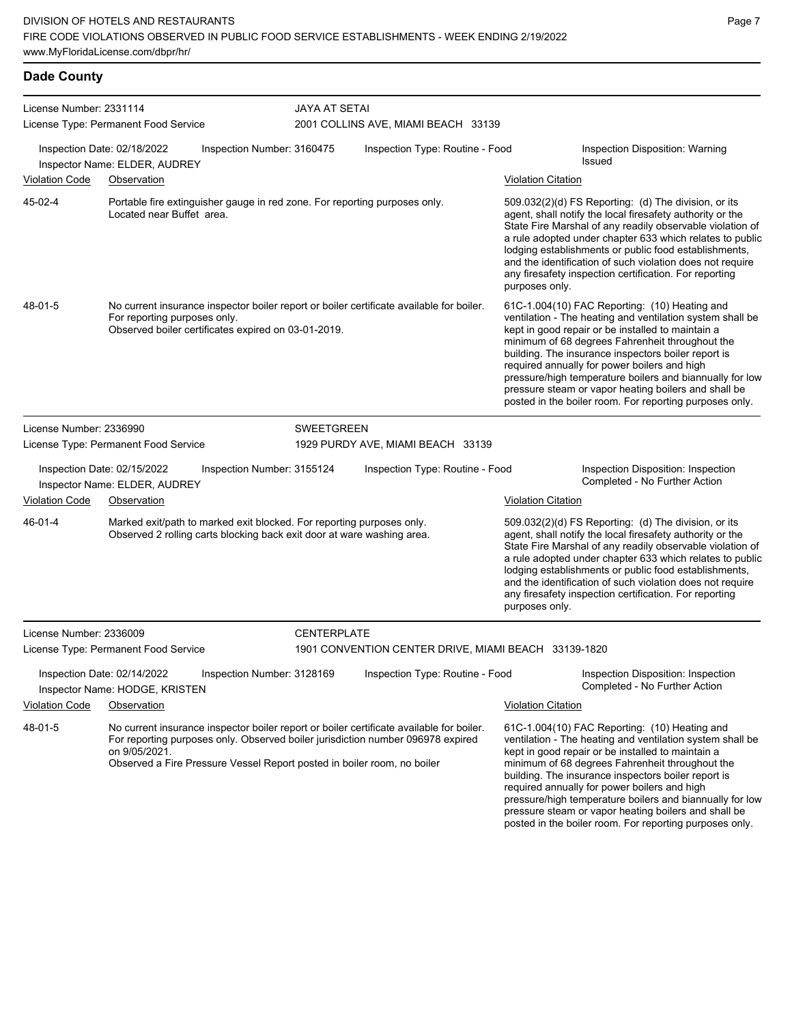## **Dade County**

| License Number: 2331114<br>License Type: Permanent Food Service |                                                                                                                                                                                                                                                                         | <b>JAYA AT SETAI</b>       | 2001 COLLINS AVE, MIAMI BEACH 33139                  |                           |                                                                                                                                                                                                                                                                                                                                                                                                                                                                                                          |
|-----------------------------------------------------------------|-------------------------------------------------------------------------------------------------------------------------------------------------------------------------------------------------------------------------------------------------------------------------|----------------------------|------------------------------------------------------|---------------------------|----------------------------------------------------------------------------------------------------------------------------------------------------------------------------------------------------------------------------------------------------------------------------------------------------------------------------------------------------------------------------------------------------------------------------------------------------------------------------------------------------------|
|                                                                 | Inspection Date: 02/18/2022<br>Inspector Name: ELDER, AUDREY                                                                                                                                                                                                            | Inspection Number: 3160475 | Inspection Type: Routine - Food                      |                           | Inspection Disposition: Warning<br>Issued                                                                                                                                                                                                                                                                                                                                                                                                                                                                |
| Violation Code                                                  | Observation                                                                                                                                                                                                                                                             |                            |                                                      | <b>Violation Citation</b> |                                                                                                                                                                                                                                                                                                                                                                                                                                                                                                          |
| 45-02-4                                                         | Portable fire extinguisher gauge in red zone. For reporting purposes only.<br>Located near Buffet area.                                                                                                                                                                 |                            |                                                      | purposes only.            | 509.032(2)(d) FS Reporting: (d) The division, or its<br>agent, shall notify the local firesafety authority or the<br>State Fire Marshal of any readily observable violation of<br>a rule adopted under chapter 633 which relates to public<br>lodging establishments or public food establishments,<br>and the identification of such violation does not require<br>any firesafety inspection certification. For reporting                                                                               |
| 48-01-5                                                         | No current insurance inspector boiler report or boiler certificate available for boiler.<br>For reporting purposes only.<br>Observed boiler certificates expired on 03-01-2019.                                                                                         |                            |                                                      |                           | 61C-1.004(10) FAC Reporting: (10) Heating and<br>ventilation - The heating and ventilation system shall be<br>kept in good repair or be installed to maintain a<br>minimum of 68 degrees Fahrenheit throughout the<br>building. The insurance inspectors boiler report is<br>required annually for power boilers and high<br>pressure/high temperature boilers and biannually for low<br>pressure steam or vapor heating boilers and shall be<br>posted in the boiler room. For reporting purposes only. |
| License Number: 2336990                                         |                                                                                                                                                                                                                                                                         | <b>SWEETGREEN</b>          |                                                      |                           |                                                                                                                                                                                                                                                                                                                                                                                                                                                                                                          |
|                                                                 | License Type: Permanent Food Service                                                                                                                                                                                                                                    |                            | 1929 PURDY AVE, MIAMI BEACH 33139                    |                           |                                                                                                                                                                                                                                                                                                                                                                                                                                                                                                          |
|                                                                 | Inspection Date: 02/15/2022<br>Inspector Name: ELDER, AUDREY                                                                                                                                                                                                            | Inspection Number: 3155124 | Inspection Type: Routine - Food                      |                           | Inspection Disposition: Inspection<br>Completed - No Further Action                                                                                                                                                                                                                                                                                                                                                                                                                                      |
| Violation Code                                                  | Observation                                                                                                                                                                                                                                                             |                            |                                                      | <b>Violation Citation</b> |                                                                                                                                                                                                                                                                                                                                                                                                                                                                                                          |
| 46-01-4                                                         | Marked exit/path to marked exit blocked. For reporting purposes only.<br>Observed 2 rolling carts blocking back exit door at ware washing area.                                                                                                                         |                            |                                                      | purposes only.            | 509.032(2)(d) FS Reporting: (d) The division, or its<br>agent, shall notify the local firesafety authority or the<br>State Fire Marshal of any readily observable violation of<br>a rule adopted under chapter 633 which relates to public<br>lodging establishments or public food establishments,<br>and the identification of such violation does not require<br>any firesafety inspection certification. For reporting                                                                               |
| License Number: 2336009                                         |                                                                                                                                                                                                                                                                         | <b>CENTERPLATE</b>         |                                                      |                           |                                                                                                                                                                                                                                                                                                                                                                                                                                                                                                          |
|                                                                 | License Type: Permanent Food Service                                                                                                                                                                                                                                    |                            | 1901 CONVENTION CENTER DRIVE, MIAMI BEACH 33139-1820 |                           |                                                                                                                                                                                                                                                                                                                                                                                                                                                                                                          |
|                                                                 | Inspection Date: 02/14/2022<br>Inspector Name: HODGE, KRISTEN                                                                                                                                                                                                           | Inspection Number: 3128169 | Inspection Type: Routine - Food                      |                           | Inspection Disposition: Inspection<br>Completed - No Further Action                                                                                                                                                                                                                                                                                                                                                                                                                                      |
| <b>Violation Code</b>                                           | Observation                                                                                                                                                                                                                                                             |                            |                                                      | <b>Violation Citation</b> |                                                                                                                                                                                                                                                                                                                                                                                                                                                                                                          |
| 48-01-5                                                         | No current insurance inspector boiler report or boiler certificate available for boiler.<br>For reporting purposes only. Observed boiler jurisdiction number 096978 expired<br>on 9/05/2021.<br>Observed a Fire Pressure Vessel Report posted in boiler room, no boiler |                            |                                                      |                           | 61C-1.004(10) FAC Reporting: (10) Heating and<br>ventilation - The heating and ventilation system shall be<br>kept in good repair or be installed to maintain a<br>minimum of 68 degrees Fahrenheit throughout the<br>building. The insurance inspectors boiler report is<br>required annually for power boilers and high<br>pressure/high temperature boilers and biannually for low<br>pressure steam or vapor heating boilers and shall be<br>posted in the boiler room. For reporting purposes only. |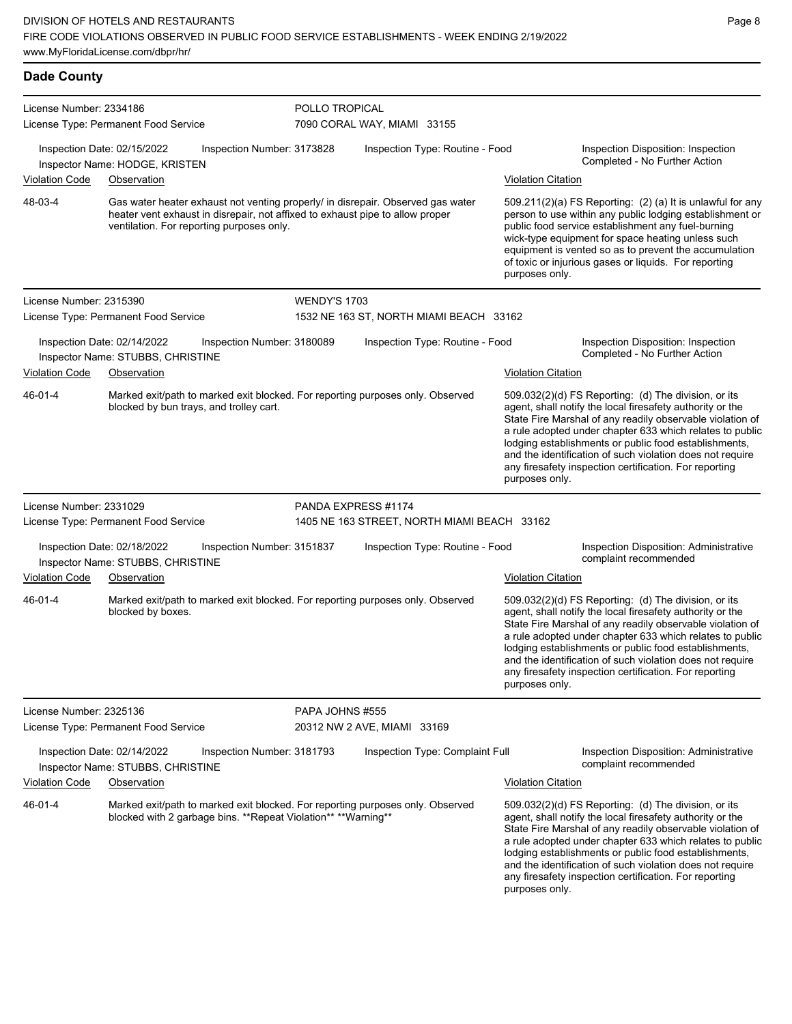| <b>Dade County</b>      |                                                                                                                                                                                                               |                     |                                             |                           |                                                                                                                                                                                                                                                                                                                                                                                                                            |
|-------------------------|---------------------------------------------------------------------------------------------------------------------------------------------------------------------------------------------------------------|---------------------|---------------------------------------------|---------------------------|----------------------------------------------------------------------------------------------------------------------------------------------------------------------------------------------------------------------------------------------------------------------------------------------------------------------------------------------------------------------------------------------------------------------------|
| License Number: 2334186 |                                                                                                                                                                                                               | POLLO TROPICAL      |                                             |                           |                                                                                                                                                                                                                                                                                                                                                                                                                            |
|                         | License Type: Permanent Food Service                                                                                                                                                                          |                     | 7090 CORAL WAY, MIAMI 33155                 |                           |                                                                                                                                                                                                                                                                                                                                                                                                                            |
|                         | Inspection Date: 02/15/2022<br>Inspection Number: 3173828<br>Inspector Name: HODGE, KRISTEN                                                                                                                   |                     | Inspection Type: Routine - Food             |                           | Inspection Disposition: Inspection<br>Completed - No Further Action                                                                                                                                                                                                                                                                                                                                                        |
| <b>Violation Code</b>   | Observation                                                                                                                                                                                                   |                     | <b>Violation Citation</b>                   |                           |                                                                                                                                                                                                                                                                                                                                                                                                                            |
| 48-03-4                 | Gas water heater exhaust not venting properly/ in disrepair. Observed gas water<br>heater vent exhaust in disrepair, not affixed to exhaust pipe to allow proper<br>ventilation. For reporting purposes only. |                     |                                             | purposes only.            | 509.211(2)(a) FS Reporting: (2) (a) It is unlawful for any<br>person to use within any public lodging establishment or<br>public food service establishment any fuel-burning<br>wick-type equipment for space heating unless such<br>equipment is vented so as to prevent the accumulation<br>of toxic or injurious gases or liquids. For reporting                                                                        |
| License Number: 2315390 |                                                                                                                                                                                                               | <b>WENDY'S 1703</b> |                                             |                           |                                                                                                                                                                                                                                                                                                                                                                                                                            |
|                         | License Type: Permanent Food Service                                                                                                                                                                          |                     | 1532 NE 163 ST, NORTH MIAMI BEACH 33162     |                           |                                                                                                                                                                                                                                                                                                                                                                                                                            |
|                         | Inspection Date: 02/14/2022<br>Inspection Number: 3180089<br>Inspector Name: STUBBS, CHRISTINE                                                                                                                |                     | Inspection Type: Routine - Food             |                           | Inspection Disposition: Inspection<br>Completed - No Further Action                                                                                                                                                                                                                                                                                                                                                        |
| Violation Code          | Observation                                                                                                                                                                                                   |                     |                                             | <b>Violation Citation</b> |                                                                                                                                                                                                                                                                                                                                                                                                                            |
| 46-01-4                 | Marked exit/path to marked exit blocked. For reporting purposes only. Observed<br>blocked by bun trays, and trolley cart.                                                                                     |                     |                                             | purposes only.            | 509.032(2)(d) FS Reporting: (d) The division, or its<br>agent, shall notify the local firesafety authority or the<br>State Fire Marshal of any readily observable violation of<br>a rule adopted under chapter 633 which relates to public<br>lodging establishments or public food establishments,<br>and the identification of such violation does not require<br>any firesafety inspection certification. For reporting |
| License Number: 2331029 |                                                                                                                                                                                                               | PANDA EXPRESS #1174 |                                             |                           |                                                                                                                                                                                                                                                                                                                                                                                                                            |
|                         | License Type: Permanent Food Service                                                                                                                                                                          |                     | 1405 NE 163 STREET, NORTH MIAMI BEACH 33162 |                           |                                                                                                                                                                                                                                                                                                                                                                                                                            |
|                         | Inspection Date: 02/18/2022<br>Inspection Number: 3151837<br>Inspector Name: STUBBS, CHRISTINE                                                                                                                |                     | Inspection Type: Routine - Food             |                           | Inspection Disposition: Administrative<br>complaint recommended                                                                                                                                                                                                                                                                                                                                                            |
| Violation Code          | Observation                                                                                                                                                                                                   |                     |                                             | <b>Violation Citation</b> |                                                                                                                                                                                                                                                                                                                                                                                                                            |
| 46-01-4                 | Marked exit/path to marked exit blocked. For reporting purposes only. Observed<br>blocked by boxes.                                                                                                           |                     |                                             | purposes only.            | 509.032(2)(d) FS Reporting: (d) The division, or its<br>agent, shall notify the local firesafety authority or the<br>State Fire Marshal of any readily observable violation of<br>a rule adopted under chapter 633 which relates to public<br>lodging establishments or public food establishments,<br>and the identification of such violation does not require<br>any firesafety inspection certification. For reporting |
| License Number: 2325136 |                                                                                                                                                                                                               | PAPA JOHNS #555     |                                             |                           |                                                                                                                                                                                                                                                                                                                                                                                                                            |
|                         | License Type: Permanent Food Service                                                                                                                                                                          |                     | 20312 NW 2 AVE, MIAMI 33169                 |                           |                                                                                                                                                                                                                                                                                                                                                                                                                            |
|                         | Inspection Date: 02/14/2022<br>Inspection Number: 3181793<br>Inspector Name: STUBBS, CHRISTINE                                                                                                                |                     | Inspection Type: Complaint Full             |                           | Inspection Disposition: Administrative<br>complaint recommended                                                                                                                                                                                                                                                                                                                                                            |
| Violation Code          | Observation                                                                                                                                                                                                   |                     |                                             | <b>Violation Citation</b> |                                                                                                                                                                                                                                                                                                                                                                                                                            |
| 46-01-4                 | Marked exit/path to marked exit blocked. For reporting purposes only. Observed<br>blocked with 2 garbage bins. **Repeat Violation** **Warning**                                                               |                     |                                             |                           | 509.032(2)(d) FS Reporting: (d) The division, or its<br>agent, shall notify the local firesafety authority or the<br>State Fire Marshal of any readily observable violation of<br>a rule adopted under chapter 633 which relates to public<br>lodging establishments or public food establishments,<br>and the identification of such violation does not require                                                           |

Page 8

any firesafety inspection certification. For reporting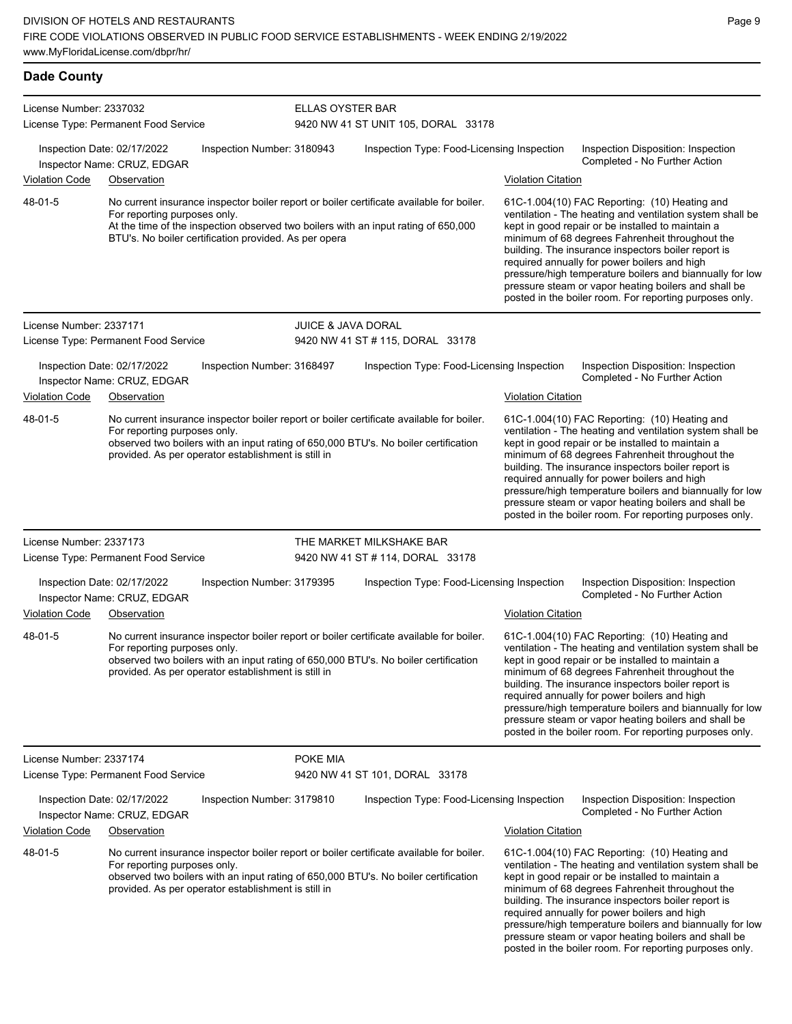| <b>Dade County</b>      |                                                                                                                                                                                                                                                                         |                               |                                            |                           |                                                                                                                                                                                                                                                                                                                                                                                                                                                                                                          |
|-------------------------|-------------------------------------------------------------------------------------------------------------------------------------------------------------------------------------------------------------------------------------------------------------------------|-------------------------------|--------------------------------------------|---------------------------|----------------------------------------------------------------------------------------------------------------------------------------------------------------------------------------------------------------------------------------------------------------------------------------------------------------------------------------------------------------------------------------------------------------------------------------------------------------------------------------------------------|
| License Number: 2337032 | License Type: Permanent Food Service                                                                                                                                                                                                                                    | <b>ELLAS OYSTER BAR</b>       | 9420 NW 41 ST UNIT 105, DORAL 33178        |                           |                                                                                                                                                                                                                                                                                                                                                                                                                                                                                                          |
|                         | Inspection Date: 02/17/2022<br>Inspector Name: CRUZ, EDGAR                                                                                                                                                                                                              | Inspection Number: 3180943    | Inspection Type: Food-Licensing Inspection |                           | Inspection Disposition: Inspection<br>Completed - No Further Action                                                                                                                                                                                                                                                                                                                                                                                                                                      |
| <b>Violation Code</b>   | Observation                                                                                                                                                                                                                                                             |                               |                                            | <b>Violation Citation</b> |                                                                                                                                                                                                                                                                                                                                                                                                                                                                                                          |
| 48-01-5                 | No current insurance inspector boiler report or boiler certificate available for boiler.<br>For reporting purposes only.<br>At the time of the inspection observed two boilers with an input rating of 650,000<br>BTU's. No boiler certification provided. As per opera |                               |                                            |                           | 61C-1.004(10) FAC Reporting: (10) Heating and<br>ventilation - The heating and ventilation system shall be<br>kept in good repair or be installed to maintain a<br>minimum of 68 degrees Fahrenheit throughout the<br>building. The insurance inspectors boiler report is<br>required annually for power boilers and high<br>pressure/high temperature boilers and biannually for low<br>pressure steam or vapor heating boilers and shall be<br>posted in the boiler room. For reporting purposes only. |
| License Number: 2337171 |                                                                                                                                                                                                                                                                         | <b>JUICE &amp; JAVA DORAL</b> |                                            |                           |                                                                                                                                                                                                                                                                                                                                                                                                                                                                                                          |
|                         | License Type: Permanent Food Service                                                                                                                                                                                                                                    |                               | 9420 NW 41 ST # 115, DORAL 33178           |                           |                                                                                                                                                                                                                                                                                                                                                                                                                                                                                                          |
| <b>Violation Code</b>   | Inspection Date: 02/17/2022<br>Inspector Name: CRUZ, EDGAR<br>Observation                                                                                                                                                                                               | Inspection Number: 3168497    | Inspection Type: Food-Licensing Inspection | <b>Violation Citation</b> | Inspection Disposition: Inspection<br>Completed - No Further Action                                                                                                                                                                                                                                                                                                                                                                                                                                      |
| 48-01-5                 | No current insurance inspector boiler report or boiler certificate available for boiler.<br>For reporting purposes only.<br>observed two boilers with an input rating of 650,000 BTU's. No boiler certification<br>provided. As per operator establishment is still in  |                               |                                            |                           | 61C-1.004(10) FAC Reporting: (10) Heating and<br>ventilation - The heating and ventilation system shall be<br>kept in good repair or be installed to maintain a<br>minimum of 68 degrees Fahrenheit throughout the<br>building. The insurance inspectors boiler report is<br>required annually for power boilers and high<br>pressure/high temperature boilers and biannually for low<br>pressure steam or vapor heating boilers and shall be<br>posted in the boiler room. For reporting purposes only. |
| License Number: 2337173 |                                                                                                                                                                                                                                                                         |                               | THE MARKET MILKSHAKE BAR                   |                           |                                                                                                                                                                                                                                                                                                                                                                                                                                                                                                          |
|                         | License Type: Permanent Food Service                                                                                                                                                                                                                                    |                               | 9420 NW 41 ST # 114, DORAL 33178           |                           |                                                                                                                                                                                                                                                                                                                                                                                                                                                                                                          |
|                         | Inspection Date: 02/17/2022<br>Inspector Name: CRUZ, EDGAR                                                                                                                                                                                                              | Inspection Number: 3179395    | Inspection Type: Food-Licensing Inspection |                           | Inspection Disposition: Inspection<br>Completed - No Further Action                                                                                                                                                                                                                                                                                                                                                                                                                                      |
| <b>Violation Code</b>   | Observation                                                                                                                                                                                                                                                             |                               |                                            | <b>Violation Citation</b> |                                                                                                                                                                                                                                                                                                                                                                                                                                                                                                          |
| 48-01-5                 | No current insurance inspector boiler report or boiler certificate available for boiler.<br>For reporting purposes only.<br>observed two boilers with an input rating of 650,000 BTU's. No boiler certification<br>provided. As per operator establishment is still in  |                               |                                            |                           | 61C-1.004(10) FAC Reporting: (10) Heating and<br>ventilation - The heating and ventilation system shall be<br>kept in good repair or be installed to maintain a<br>minimum of 68 degrees Fahrenheit throughout the<br>building. The insurance inspectors boiler report is<br>required annually for power boilers and high<br>pressure/high temperature boilers and biannually for low<br>pressure steam or vapor heating boilers and shall be<br>posted in the boiler room. For reporting purposes only. |
| License Number: 2337174 |                                                                                                                                                                                                                                                                         | POKE MIA                      |                                            |                           |                                                                                                                                                                                                                                                                                                                                                                                                                                                                                                          |
|                         | License Type: Permanent Food Service                                                                                                                                                                                                                                    |                               | 9420 NW 41 ST 101, DORAL 33178             |                           |                                                                                                                                                                                                                                                                                                                                                                                                                                                                                                          |
|                         | Inspection Date: 02/17/2022<br>Inspector Name: CRUZ, EDGAR                                                                                                                                                                                                              | Inspection Number: 3179810    | Inspection Type: Food-Licensing Inspection |                           | Inspection Disposition: Inspection<br>Completed - No Further Action                                                                                                                                                                                                                                                                                                                                                                                                                                      |
| Violation Code          | Observation                                                                                                                                                                                                                                                             |                               |                                            | <b>Violation Citation</b> |                                                                                                                                                                                                                                                                                                                                                                                                                                                                                                          |
| 48-01-5                 | No current insurance inspector boiler report or boiler certificate available for boiler.<br>For reporting purposes only.<br>observed two boilers with an input rating of 650,000 BTU's. No boiler certification<br>provided. As per operator establishment is still in  |                               |                                            |                           | 61C-1.004(10) FAC Reporting: (10) Heating and<br>ventilation - The heating and ventilation system shall be<br>kept in good repair or be installed to maintain a<br>minimum of 68 degrees Fahrenheit throughout the<br>building. The insurance inspectors boiler report is<br>required annually for power boilers and high<br>pressure/high temperature boilers and biannually for low<br>pressure steam or vapor heating boilers and shall be<br>posted in the boiler room. For reporting purposes only. |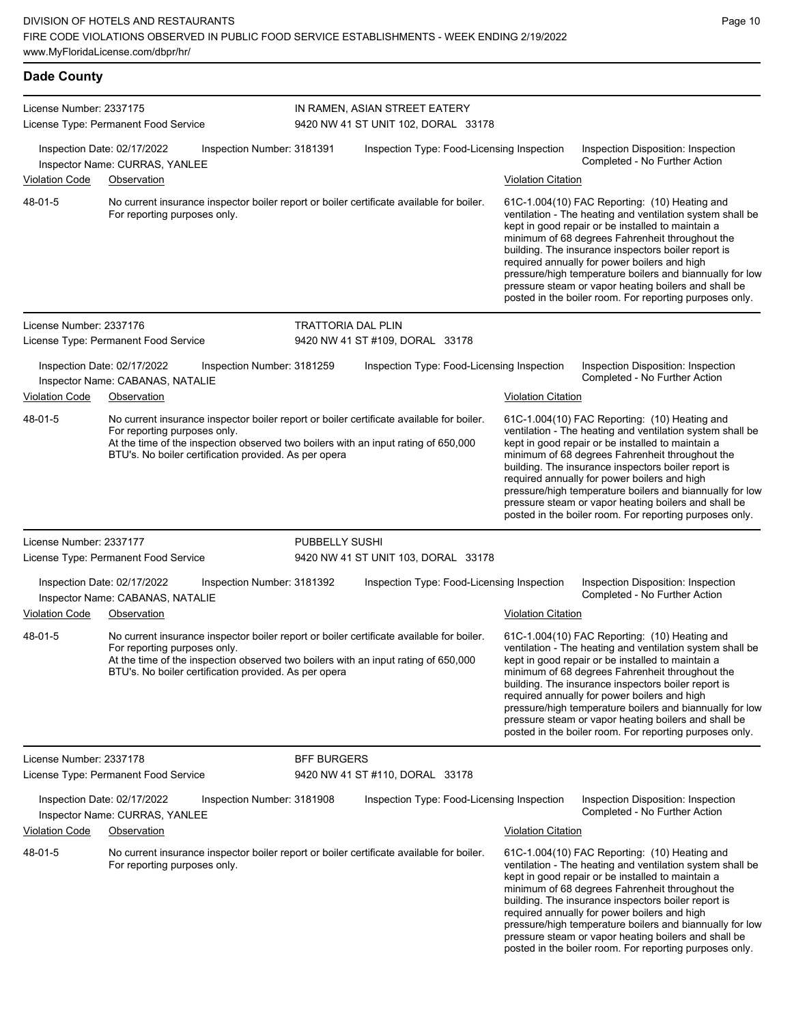| <b>Dade County</b>      |                                                                                |                                                       |                    |                                                                                                                                                                                |                           |                                                                                                                                                                                                                                                                                                                                                                                                                                                                                                          |
|-------------------------|--------------------------------------------------------------------------------|-------------------------------------------------------|--------------------|--------------------------------------------------------------------------------------------------------------------------------------------------------------------------------|---------------------------|----------------------------------------------------------------------------------------------------------------------------------------------------------------------------------------------------------------------------------------------------------------------------------------------------------------------------------------------------------------------------------------------------------------------------------------------------------------------------------------------------------|
| License Number: 2337175 | License Type: Permanent Food Service                                           |                                                       |                    | IN RAMEN, ASIAN STREET EATERY<br>9420 NW 41 ST UNIT 102, DORAL 33178                                                                                                           |                           |                                                                                                                                                                                                                                                                                                                                                                                                                                                                                                          |
| <b>Violation Code</b>   | Inspection Date: 02/17/2022<br>Inspector Name: CURRAS, YANLEE<br>Observation   | Inspection Number: 3181391                            |                    | Inspection Type: Food-Licensing Inspection                                                                                                                                     | <b>Violation Citation</b> | Inspection Disposition: Inspection<br>Completed - No Further Action                                                                                                                                                                                                                                                                                                                                                                                                                                      |
| 48-01-5                 | For reporting purposes only.                                                   |                                                       |                    | No current insurance inspector boiler report or boiler certificate available for boiler.                                                                                       |                           | 61C-1.004(10) FAC Reporting: (10) Heating and<br>ventilation - The heating and ventilation system shall be<br>kept in good repair or be installed to maintain a<br>minimum of 68 degrees Fahrenheit throughout the<br>building. The insurance inspectors boiler report is<br>required annually for power boilers and high<br>pressure/high temperature boilers and biannually for low<br>pressure steam or vapor heating boilers and shall be<br>posted in the boiler room. For reporting purposes only. |
| License Number: 2337176 |                                                                                |                                                       | TRATTORIA DAL PLIN |                                                                                                                                                                                |                           |                                                                                                                                                                                                                                                                                                                                                                                                                                                                                                          |
|                         | License Type: Permanent Food Service                                           |                                                       |                    | 9420 NW 41 ST #109, DORAL 33178                                                                                                                                                |                           |                                                                                                                                                                                                                                                                                                                                                                                                                                                                                                          |
| <b>Violation Code</b>   | Inspection Date: 02/17/2022<br>Inspector Name: CABANAS, NATALIE<br>Observation | Inspection Number: 3181259                            |                    | Inspection Type: Food-Licensing Inspection                                                                                                                                     | <b>Violation Citation</b> | Inspection Disposition: Inspection<br>Completed - No Further Action                                                                                                                                                                                                                                                                                                                                                                                                                                      |
| 48-01-5                 | For reporting purposes only.                                                   | BTU's. No boiler certification provided. As per opera |                    | No current insurance inspector boiler report or boiler certificate available for boiler.<br>At the time of the inspection observed two boilers with an input rating of 650,000 |                           | 61C-1.004(10) FAC Reporting: (10) Heating and<br>ventilation - The heating and ventilation system shall be<br>kept in good repair or be installed to maintain a<br>minimum of 68 degrees Fahrenheit throughout the<br>building. The insurance inspectors boiler report is<br>required annually for power boilers and high<br>pressure/high temperature boilers and biannually for low<br>pressure steam or vapor heating boilers and shall be<br>posted in the boiler room. For reporting purposes only. |
| License Number: 2337177 |                                                                                |                                                       | PUBBELLY SUSHI     |                                                                                                                                                                                |                           |                                                                                                                                                                                                                                                                                                                                                                                                                                                                                                          |
|                         | License Type: Permanent Food Service                                           |                                                       |                    | 9420 NW 41 ST UNIT 103, DORAL 33178                                                                                                                                            |                           |                                                                                                                                                                                                                                                                                                                                                                                                                                                                                                          |
|                         | Inspection Date: 02/17/2022<br>Inspector Name: CABANAS, NATALIE                | Inspection Number: 3181392                            |                    | Inspection Type: Food-Licensing Inspection                                                                                                                                     |                           | Inspection Disposition: Inspection<br>Completed - No Further Action                                                                                                                                                                                                                                                                                                                                                                                                                                      |
| <b>Violation Code</b>   | Observation                                                                    |                                                       |                    |                                                                                                                                                                                | <b>Violation Citation</b> |                                                                                                                                                                                                                                                                                                                                                                                                                                                                                                          |
| 48-01-5                 | For reporting purposes only.                                                   | BTU's. No boiler certification provided. As per opera |                    | No current insurance inspector boiler report or boiler certificate available for boiler.<br>At the time of the inspection observed two boilers with an input rating of 650,000 |                           | 61C-1.004(10) FAC Reporting: (10) Heating and<br>ventilation - The heating and ventilation system shall be<br>kept in good repair or be installed to maintain a<br>minimum of 68 degrees Fahrenheit throughout the<br>building. The insurance inspectors boiler report is<br>required annually for power boilers and high<br>pressure/high temperature boilers and biannually for low<br>pressure steam or vapor heating boilers and shall be<br>posted in the boiler room. For reporting purposes only. |
| License Number: 2337178 |                                                                                |                                                       | <b>BFF BURGERS</b> |                                                                                                                                                                                |                           |                                                                                                                                                                                                                                                                                                                                                                                                                                                                                                          |
|                         | License Type: Permanent Food Service                                           |                                                       |                    | 9420 NW 41 ST #110, DORAL 33178                                                                                                                                                |                           |                                                                                                                                                                                                                                                                                                                                                                                                                                                                                                          |
|                         | Inspection Date: 02/17/2022<br>Inspector Name: CURRAS, YANLEE                  | Inspection Number: 3181908                            |                    | Inspection Type: Food-Licensing Inspection                                                                                                                                     |                           | Inspection Disposition: Inspection<br>Completed - No Further Action                                                                                                                                                                                                                                                                                                                                                                                                                                      |
| Violation Code          | Observation                                                                    |                                                       |                    |                                                                                                                                                                                | <b>Violation Citation</b> |                                                                                                                                                                                                                                                                                                                                                                                                                                                                                                          |
| 48-01-5                 | For reporting purposes only.                                                   |                                                       |                    | No current insurance inspector boiler report or boiler certificate available for boiler.                                                                                       |                           | 61C-1.004(10) FAC Reporting: (10) Heating and<br>ventilation - The heating and ventilation system shall be<br>kept in good repair or be installed to maintain a<br>minimum of 68 degrees Fahrenheit throughout the<br>building. The insurance inspectors boiler report is<br>required annually for power boilers and high<br>pressure/high temperature boilers and biannually for low<br>pressure steam or vapor heating boilers and shall be<br>posted in the boiler room. For reporting purposes only. |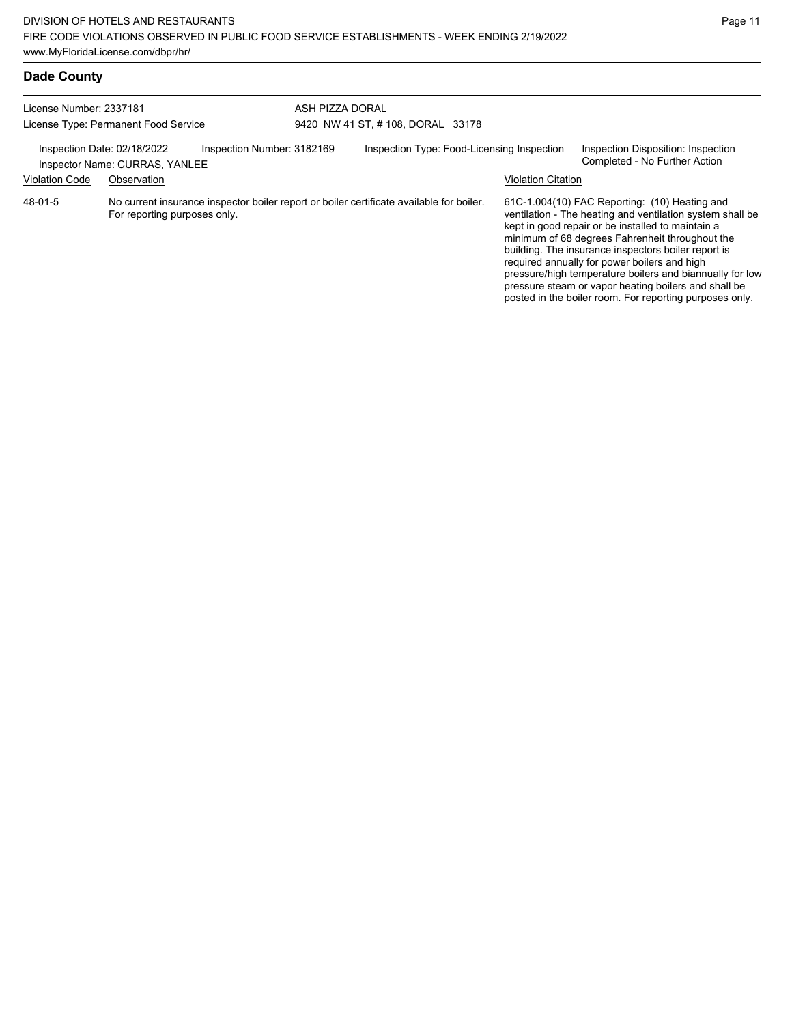posted in the boiler room. For reporting purposes only.

# **Dade County**

| License Number: 2337181<br>License Type: Permanent Food Service                             |                              | ASH PIZZA DORAL<br>9420 NW 41 ST, #108, DORAL 33178                                      |                                                                                                                   |  |  |                           |                                                                                                                                                                                                                                                                                                                                                                                                                                               |
|---------------------------------------------------------------------------------------------|------------------------------|------------------------------------------------------------------------------------------|-------------------------------------------------------------------------------------------------------------------|--|--|---------------------------|-----------------------------------------------------------------------------------------------------------------------------------------------------------------------------------------------------------------------------------------------------------------------------------------------------------------------------------------------------------------------------------------------------------------------------------------------|
|                                                                                             |                              |                                                                                          |                                                                                                                   |  |  |                           |                                                                                                                                                                                                                                                                                                                                                                                                                                               |
| Inspection Number: 3182169<br>Inspection Date: 02/18/2022<br>Inspector Name: CURRAS, YANLEE |                              |                                                                                          | Inspection Type: Food-Licensing Inspection<br>Inspection Disposition: Inspection<br>Completed - No Further Action |  |  |                           |                                                                                                                                                                                                                                                                                                                                                                                                                                               |
| <b>Violation Code</b>                                                                       | Observation                  |                                                                                          |                                                                                                                   |  |  | <b>Violation Citation</b> |                                                                                                                                                                                                                                                                                                                                                                                                                                               |
| 48-01-5                                                                                     | For reporting purposes only. | No current insurance inspector boiler report or boiler certificate available for boiler. |                                                                                                                   |  |  |                           | 61C-1.004(10) FAC Reporting: (10) Heating and<br>ventilation - The heating and ventilation system shall be<br>kept in good repair or be installed to maintain a<br>minimum of 68 degrees Fahrenheit throughout the<br>building. The insurance inspectors boiler report is<br>required annually for power boilers and high<br>pressure/high temperature boilers and biannually for low<br>pressure steam or vapor heating boilers and shall be |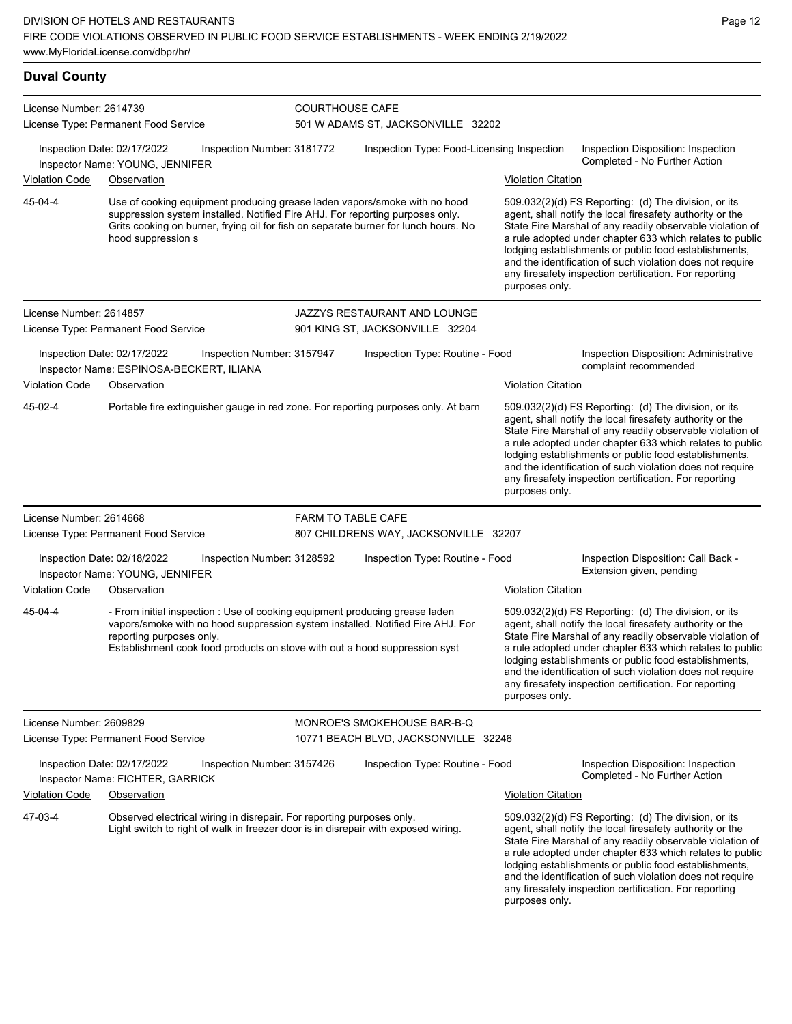| <b>Duval County</b>     |                                                                                                                                                                                                                                                                         |                            |                                            |                           |                                                                                                                                                                                                                                                                                                                                                                                                                            |
|-------------------------|-------------------------------------------------------------------------------------------------------------------------------------------------------------------------------------------------------------------------------------------------------------------------|----------------------------|--------------------------------------------|---------------------------|----------------------------------------------------------------------------------------------------------------------------------------------------------------------------------------------------------------------------------------------------------------------------------------------------------------------------------------------------------------------------------------------------------------------------|
| License Number: 2614739 | License Type: Permanent Food Service                                                                                                                                                                                                                                    | <b>COURTHOUSE CAFE</b>     | 501 W ADAMS ST, JACKSONVILLE 32202         |                           |                                                                                                                                                                                                                                                                                                                                                                                                                            |
|                         | Inspection Date: 02/17/2022<br>Inspector Name: YOUNG, JENNIFER                                                                                                                                                                                                          | Inspection Number: 3181772 | Inspection Type: Food-Licensing Inspection |                           | Inspection Disposition: Inspection<br>Completed - No Further Action                                                                                                                                                                                                                                                                                                                                                        |
| <b>Violation Code</b>   | Observation                                                                                                                                                                                                                                                             |                            |                                            | <b>Violation Citation</b> |                                                                                                                                                                                                                                                                                                                                                                                                                            |
| 45-04-4                 | Use of cooking equipment producing grease laden vapors/smoke with no hood<br>suppression system installed. Notified Fire AHJ. For reporting purposes only.<br>Grits cooking on burner, frying oil for fish on separate burner for lunch hours. No<br>hood suppression s |                            |                                            | purposes only.            | 509.032(2)(d) FS Reporting: (d) The division, or its<br>agent, shall notify the local firesafety authority or the<br>State Fire Marshal of any readily observable violation of<br>a rule adopted under chapter 633 which relates to public<br>lodging establishments or public food establishments,<br>and the identification of such violation does not require<br>any firesafety inspection certification. For reporting |
| License Number: 2614857 |                                                                                                                                                                                                                                                                         |                            | JAZZYS RESTAURANT AND LOUNGE               |                           |                                                                                                                                                                                                                                                                                                                                                                                                                            |
|                         | License Type: Permanent Food Service                                                                                                                                                                                                                                    |                            | 901 KING ST, JACKSONVILLE 32204            |                           |                                                                                                                                                                                                                                                                                                                                                                                                                            |
|                         | Inspection Date: 02/17/2022<br>Inspector Name: ESPINOSA-BECKERT, ILIANA                                                                                                                                                                                                 | Inspection Number: 3157947 | Inspection Type: Routine - Food            |                           | Inspection Disposition: Administrative<br>complaint recommended                                                                                                                                                                                                                                                                                                                                                            |
| <b>Violation Code</b>   | Observation                                                                                                                                                                                                                                                             |                            |                                            | <b>Violation Citation</b> |                                                                                                                                                                                                                                                                                                                                                                                                                            |
| 45-02-4                 | Portable fire extinguisher gauge in red zone. For reporting purposes only. At barn                                                                                                                                                                                      |                            |                                            | purposes only.            | 509.032(2)(d) FS Reporting: (d) The division, or its<br>agent, shall notify the local firesafety authority or the<br>State Fire Marshal of any readily observable violation of<br>a rule adopted under chapter 633 which relates to public<br>lodging establishments or public food establishments,<br>and the identification of such violation does not require<br>any firesafety inspection certification. For reporting |
| License Number: 2614668 |                                                                                                                                                                                                                                                                         | <b>FARM TO TABLE CAFE</b>  |                                            |                           |                                                                                                                                                                                                                                                                                                                                                                                                                            |
|                         | License Type: Permanent Food Service                                                                                                                                                                                                                                    |                            | 807 CHILDRENS WAY, JACKSONVILLE 32207      |                           |                                                                                                                                                                                                                                                                                                                                                                                                                            |
|                         | Inspection Date: 02/18/2022<br>Inspector Name: YOUNG, JENNIFER                                                                                                                                                                                                          | Inspection Number: 3128592 | Inspection Type: Routine - Food            |                           | Inspection Disposition: Call Back -<br>Extension given, pending                                                                                                                                                                                                                                                                                                                                                            |
| <b>Violation Code</b>   | Observation                                                                                                                                                                                                                                                             |                            |                                            | <b>Violation Citation</b> |                                                                                                                                                                                                                                                                                                                                                                                                                            |
| 45-04-4                 | - From initial inspection : Use of cooking equipment producing grease laden<br>vapors/smoke with no hood suppression system installed. Notified Fire AHJ. For<br>reporting purposes only.<br>Establishment cook food products on stove with out a hood suppression syst |                            |                                            | purposes only.            | 509.032(2)(d) FS Reporting: (d) The division, or its<br>agent, shall notify the local firesafety authority or the<br>State Fire Marshal of any readily observable violation of<br>a rule adopted under chapter 633 which relates to public<br>lodging establishments or public food establishments,<br>and the identification of such violation does not require<br>any firesafety inspection certification. For reporting |
| License Number: 2609829 |                                                                                                                                                                                                                                                                         |                            | MONROE'S SMOKEHOUSE BAR-B-Q                |                           |                                                                                                                                                                                                                                                                                                                                                                                                                            |
|                         | License Type: Permanent Food Service                                                                                                                                                                                                                                    |                            | 10771 BEACH BLVD, JACKSONVILLE 32246       |                           |                                                                                                                                                                                                                                                                                                                                                                                                                            |
|                         | Inspection Date: 02/17/2022<br>Inspector Name: FICHTER, GARRICK                                                                                                                                                                                                         | Inspection Number: 3157426 | Inspection Type: Routine - Food            |                           | Inspection Disposition: Inspection<br>Completed - No Further Action                                                                                                                                                                                                                                                                                                                                                        |
| <b>Violation Code</b>   | Observation                                                                                                                                                                                                                                                             |                            |                                            | <b>Violation Citation</b> |                                                                                                                                                                                                                                                                                                                                                                                                                            |
| 47-03-4                 | Observed electrical wiring in disrepair. For reporting purposes only.<br>Light switch to right of walk in freezer door is in disrepair with exposed wiring.                                                                                                             |                            |                                            | purposes only.            | 509.032(2)(d) FS Reporting: (d) The division, or its<br>agent, shall notify the local firesafety authority or the<br>State Fire Marshal of any readily observable violation of<br>a rule adopted under chapter 633 which relates to public<br>lodging establishments or public food establishments,<br>and the identification of such violation does not require<br>any firesafety inspection certification. For reporting |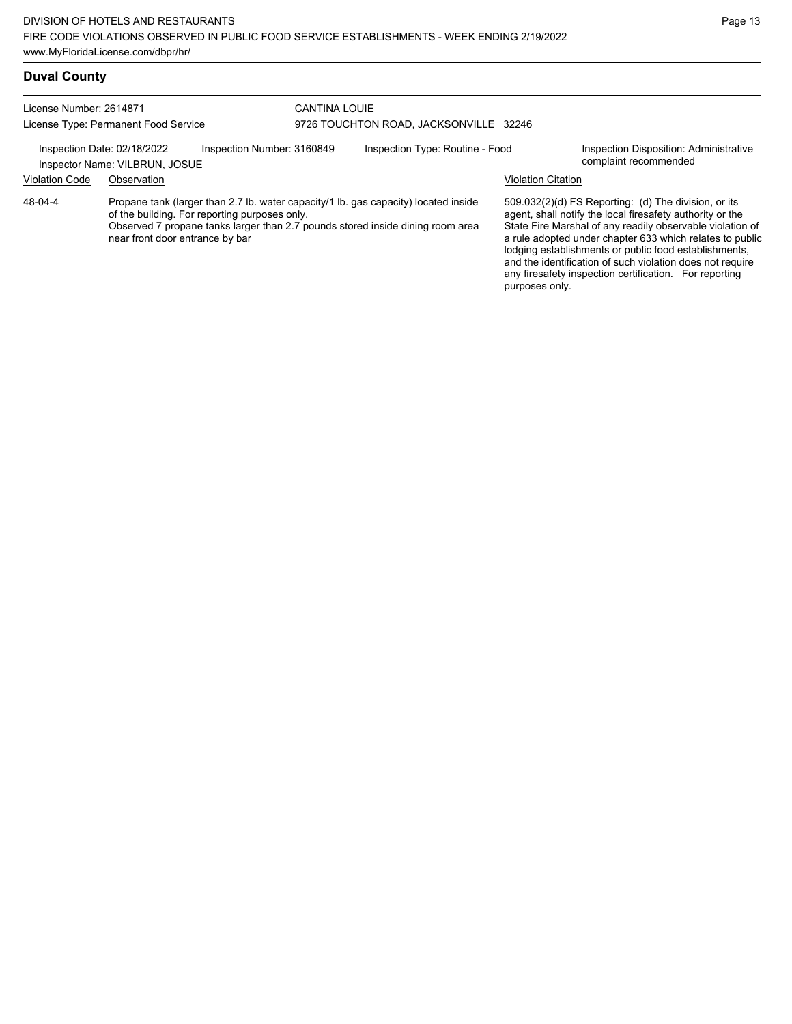### **Duval County**

| License Number: 2614871 |                                                                                                                                                                                                                                                           | <b>CANTINA LOUIE</b>       |                                        |                           |                                                                                                                                                                                                                                                                                                                                                                                                                            |
|-------------------------|-----------------------------------------------------------------------------------------------------------------------------------------------------------------------------------------------------------------------------------------------------------|----------------------------|----------------------------------------|---------------------------|----------------------------------------------------------------------------------------------------------------------------------------------------------------------------------------------------------------------------------------------------------------------------------------------------------------------------------------------------------------------------------------------------------------------------|
|                         | License Type: Permanent Food Service                                                                                                                                                                                                                      |                            | 9726 TOUCHTON ROAD, JACKSONVILLE 32246 |                           |                                                                                                                                                                                                                                                                                                                                                                                                                            |
|                         | Inspection Date: 02/18/2022<br>Inspector Name: VILBRUN, JOSUE                                                                                                                                                                                             | Inspection Number: 3160849 | Inspection Type: Routine - Food        |                           | Inspection Disposition: Administrative<br>complaint recommended                                                                                                                                                                                                                                                                                                                                                            |
| <b>Violation Code</b>   | Observation                                                                                                                                                                                                                                               |                            |                                        | <b>Violation Citation</b> |                                                                                                                                                                                                                                                                                                                                                                                                                            |
| 48-04-4                 | Propane tank (larger than 2.7 lb. water capacity/1 lb. gas capacity) located inside<br>of the building. For reporting purposes only.<br>Observed 7 propane tanks larger than 2.7 pounds stored inside dining room area<br>near front door entrance by bar |                            |                                        |                           | 509.032(2)(d) FS Reporting: (d) The division, or its<br>agent, shall notify the local firesafety authority or the<br>State Fire Marshal of any readily observable violation of<br>a rule adopted under chapter 633 which relates to public<br>lodging establishments or public food establishments,<br>and the identification of such violation does not require<br>any firesafety inspection certification. For reporting |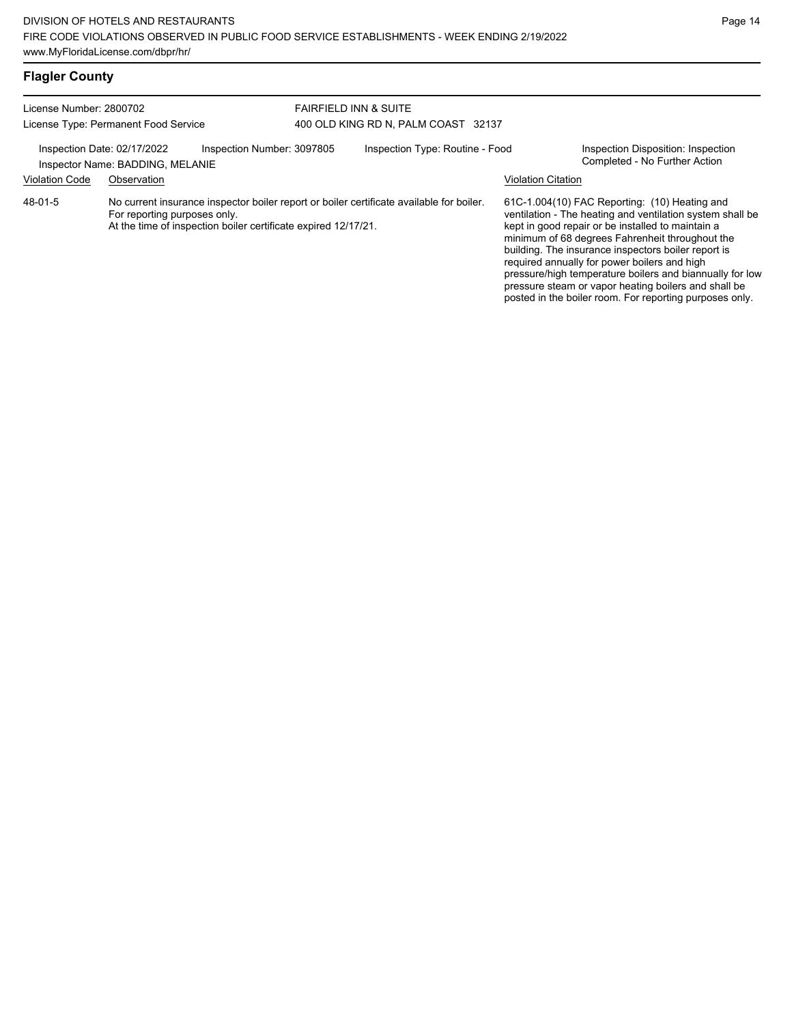| <b>Flagler County</b>                                                                                                                                            |                              |                                                                |                                                                        |                                                                                          |                           |                                                                                                                                                                                                                                                                                                                                                                                                                                                                                                          |
|------------------------------------------------------------------------------------------------------------------------------------------------------------------|------------------------------|----------------------------------------------------------------|------------------------------------------------------------------------|------------------------------------------------------------------------------------------|---------------------------|----------------------------------------------------------------------------------------------------------------------------------------------------------------------------------------------------------------------------------------------------------------------------------------------------------------------------------------------------------------------------------------------------------------------------------------------------------------------------------------------------------|
| License Number: 2800702<br>License Type: Permanent Food Service<br>Inspection Date: 02/17/2022<br>Inspection Number: 3097805<br>Inspector Name: BADDING, MELANIE |                              |                                                                | <b>FAIRFIELD INN &amp; SUITE</b>                                       |                                                                                          |                           |                                                                                                                                                                                                                                                                                                                                                                                                                                                                                                          |
|                                                                                                                                                                  |                              |                                                                | 400 OLD KING RD N, PALM COAST 32137<br>Inspection Type: Routine - Food |                                                                                          |                           | Inspection Disposition: Inspection<br>Completed - No Further Action                                                                                                                                                                                                                                                                                                                                                                                                                                      |
| Violation Code                                                                                                                                                   | Observation                  |                                                                |                                                                        |                                                                                          | <b>Violation Citation</b> |                                                                                                                                                                                                                                                                                                                                                                                                                                                                                                          |
| 48-01-5                                                                                                                                                          | For reporting purposes only. | At the time of inspection boiler certificate expired 12/17/21. |                                                                        | No current insurance inspector boiler report or boiler certificate available for boiler. |                           | 61C-1.004(10) FAC Reporting: (10) Heating and<br>ventilation - The heating and ventilation system shall be<br>kept in good repair or be installed to maintain a<br>minimum of 68 degrees Fahrenheit throughout the<br>building. The insurance inspectors boiler report is<br>required annually for power boilers and high<br>pressure/high temperature boilers and biannually for low<br>pressure steam or vapor heating boilers and shall be<br>posted in the boiler room. For reporting purposes only. |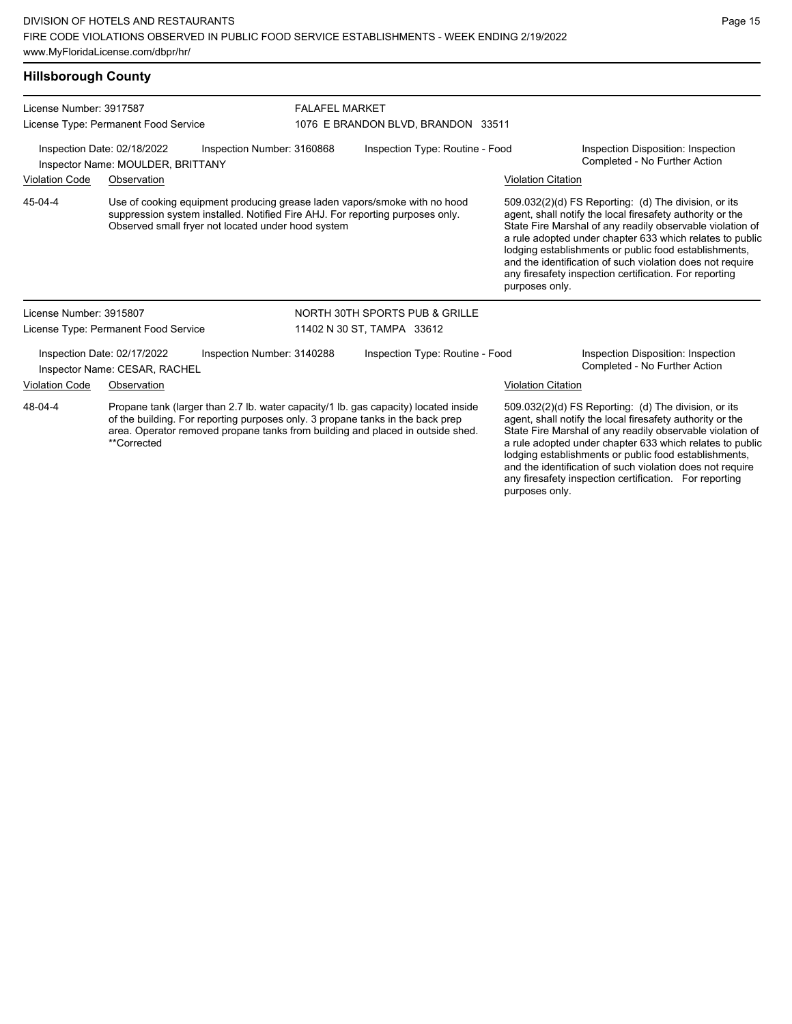#### **Hillsborough County**

| License Number: 3917587                                                                        |                                                              |                                                                                                                                                                                                                  | <b>FALAFEL MARKET</b>           |                                                                                                                                                                       |                                                                     |                                                                                                                                                                                                                                                                                                                                                                                                                            |  |
|------------------------------------------------------------------------------------------------|--------------------------------------------------------------|------------------------------------------------------------------------------------------------------------------------------------------------------------------------------------------------------------------|---------------------------------|-----------------------------------------------------------------------------------------------------------------------------------------------------------------------|---------------------------------------------------------------------|----------------------------------------------------------------------------------------------------------------------------------------------------------------------------------------------------------------------------------------------------------------------------------------------------------------------------------------------------------------------------------------------------------------------------|--|
|                                                                                                | License Type: Permanent Food Service                         |                                                                                                                                                                                                                  |                                 | 1076 E BRANDON BLVD, BRANDON 33511                                                                                                                                    |                                                                     |                                                                                                                                                                                                                                                                                                                                                                                                                            |  |
| Inspection Date: 02/18/2022<br>Inspection Number: 3160868<br>Inspector Name: MOULDER, BRITTANY |                                                              |                                                                                                                                                                                                                  | Inspection Type: Routine - Food |                                                                                                                                                                       | Inspection Disposition: Inspection<br>Completed - No Further Action |                                                                                                                                                                                                                                                                                                                                                                                                                            |  |
| <b>Violation Code</b>                                                                          | Observation                                                  |                                                                                                                                                                                                                  |                                 |                                                                                                                                                                       | <b>Violation Citation</b>                                           |                                                                                                                                                                                                                                                                                                                                                                                                                            |  |
| 45-04-4                                                                                        |                                                              | Use of cooking equipment producing grease laden vapors/smoke with no hood<br>suppression system installed. Notified Fire AHJ. For reporting purposes only.<br>Observed small fryer not located under hood system |                                 |                                                                                                                                                                       | purposes only.                                                      | 509.032(2)(d) FS Reporting: (d) The division, or its<br>agent, shall notify the local firesafety authority or the<br>State Fire Marshal of any readily observable violation of<br>a rule adopted under chapter 633 which relates to public<br>lodging establishments or public food establishments,<br>and the identification of such violation does not require<br>any firesafety inspection certification. For reporting |  |
| License Number: 3915807                                                                        |                                                              |                                                                                                                                                                                                                  |                                 | NORTH 30TH SPORTS PUB & GRILLE                                                                                                                                        |                                                                     |                                                                                                                                                                                                                                                                                                                                                                                                                            |  |
|                                                                                                | License Type: Permanent Food Service                         |                                                                                                                                                                                                                  |                                 | 11402 N 30 ST, TAMPA 33612                                                                                                                                            |                                                                     |                                                                                                                                                                                                                                                                                                                                                                                                                            |  |
|                                                                                                | Inspection Date: 02/17/2022<br>Inspector Name: CESAR, RACHEL | Inspection Number: 3140288                                                                                                                                                                                       |                                 | Inspection Type: Routine - Food                                                                                                                                       |                                                                     | Inspection Disposition: Inspection<br>Completed - No Further Action                                                                                                                                                                                                                                                                                                                                                        |  |
| <b>Violation Code</b>                                                                          | Observation                                                  |                                                                                                                                                                                                                  |                                 |                                                                                                                                                                       | <b>Violation Citation</b>                                           |                                                                                                                                                                                                                                                                                                                                                                                                                            |  |
| 48-04-4                                                                                        | **Corrected                                                  | of the building. For reporting purposes only, 3 propane tanks in the back prep                                                                                                                                   |                                 | Propane tank (larger than 2.7 lb. water capacity/1 lb. gas capacity) located inside<br>area. Operator removed propane tanks from building and placed in outside shed. |                                                                     | 509.032(2)(d) FS Reporting: (d) The division, or its<br>agent, shall notify the local firesafety authority or the<br>State Fire Marshal of any readily observable violation of<br>a rule adopted under chapter 633 which relates to public<br>lodging establishments or public food establishments,<br>and the identification of such violation does not require                                                           |  |

any firesafety inspection certification. For reporting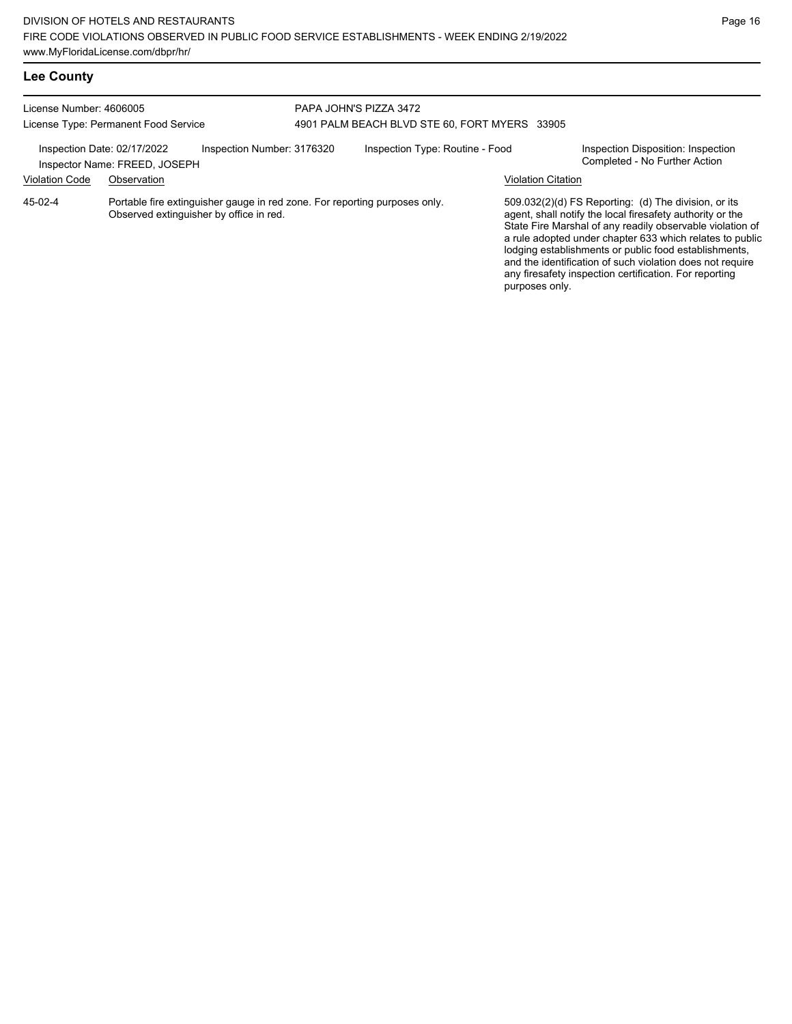| License Number: 4606005<br>License Type: Permanent Food Service |                               |                                                                                                                       | PAPA JOHN'S PIZZA 3472 | 4901 PALM BEACH BLVD STE 60, FORT MYERS 33905 |                           |                                                                                                                                                                                                                                                                                                                                                                                                                            |
|-----------------------------------------------------------------|-------------------------------|-----------------------------------------------------------------------------------------------------------------------|------------------------|-----------------------------------------------|---------------------------|----------------------------------------------------------------------------------------------------------------------------------------------------------------------------------------------------------------------------------------------------------------------------------------------------------------------------------------------------------------------------------------------------------------------------|
| Inspection Date: 02/17/2022                                     | Inspector Name: FREED, JOSEPH | Inspection Number: 3176320                                                                                            |                        | Inspection Type: Routine - Food               |                           | Inspection Disposition: Inspection<br>Completed - No Further Action                                                                                                                                                                                                                                                                                                                                                        |
| <b>Violation Code</b>                                           | Observation                   |                                                                                                                       |                        |                                               | <b>Violation Citation</b> |                                                                                                                                                                                                                                                                                                                                                                                                                            |
| 45-02-4                                                         |                               | Portable fire extinguisher gauge in red zone. For reporting purposes only.<br>Observed extinguisher by office in red. |                        |                                               | purposes only.            | 509.032(2)(d) FS Reporting: (d) The division, or its<br>agent, shall notify the local firesafety authority or the<br>State Fire Marshal of any readily observable violation of<br>a rule adopted under chapter 633 which relates to public<br>lodging establishments or public food establishments,<br>and the identification of such violation does not require<br>any firesafety inspection certification. For reporting |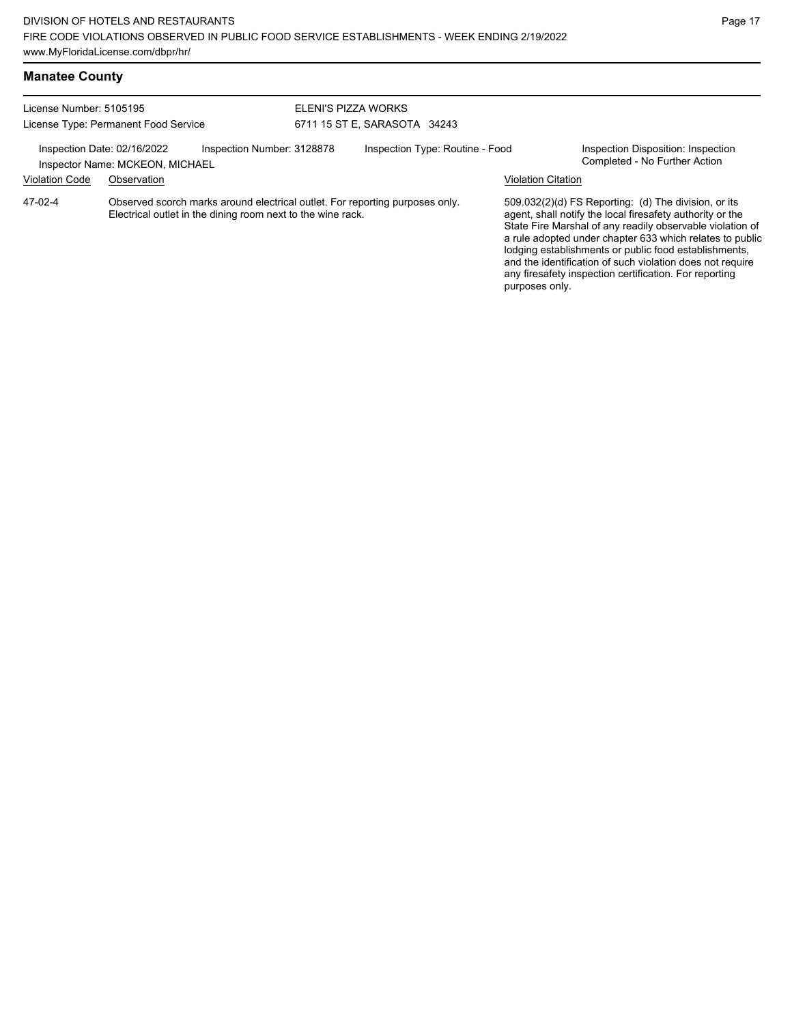| License Number: 5105195 |                                                                |                                                             | ELENI'S PIZZA WORKS |                                                                              |                           |                                                                                                                                                                                                                                                                                                                                                                                                                            |
|-------------------------|----------------------------------------------------------------|-------------------------------------------------------------|---------------------|------------------------------------------------------------------------------|---------------------------|----------------------------------------------------------------------------------------------------------------------------------------------------------------------------------------------------------------------------------------------------------------------------------------------------------------------------------------------------------------------------------------------------------------------------|
|                         | License Type: Permanent Food Service                           |                                                             |                     | 6711 15 ST E, SARASOTA 34243                                                 |                           |                                                                                                                                                                                                                                                                                                                                                                                                                            |
|                         | Inspection Date: 02/16/2022<br>Inspector Name: MCKEON, MICHAEL | Inspection Number: 3128878                                  |                     | Inspection Type: Routine - Food                                              |                           | Inspection Disposition: Inspection<br>Completed - No Further Action                                                                                                                                                                                                                                                                                                                                                        |
| <b>Violation Code</b>   | Observation                                                    |                                                             |                     |                                                                              | <b>Violation Citation</b> |                                                                                                                                                                                                                                                                                                                                                                                                                            |
| 47-02-4                 |                                                                | Electrical outlet in the dining room next to the wine rack. |                     | Observed scorch marks around electrical outlet. For reporting purposes only. |                           | 509.032(2)(d) FS Reporting: (d) The division, or its<br>agent, shall notify the local firesafety authority or the<br>State Fire Marshal of any readily observable violation of<br>a rule adopted under chapter 633 which relates to public<br>lodging establishments or public food establishments,<br>and the identification of such violation does not require<br>any firesafety inspection certification. For reporting |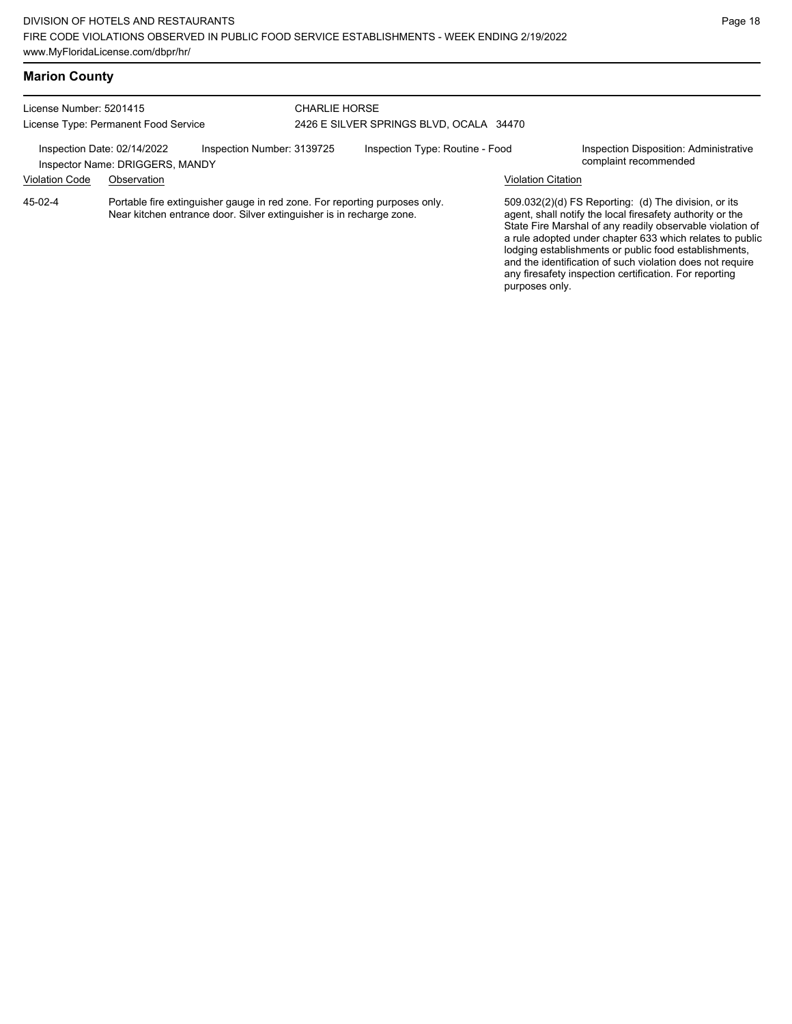any firesafety inspection certification. For reporting

purposes only.

# **Marion County**

| License Number: 5201415<br>License Type: Permanent Food Service                                                                                               |                                                                | CHARLIE HORSE              | 2426 E SILVER SPRINGS BLVD, OCALA 34470 |                                 |                                                                                                                                                                                                                                                                                                                                                                  |                                                                 |
|---------------------------------------------------------------------------------------------------------------------------------------------------------------|----------------------------------------------------------------|----------------------------|-----------------------------------------|---------------------------------|------------------------------------------------------------------------------------------------------------------------------------------------------------------------------------------------------------------------------------------------------------------------------------------------------------------------------------------------------------------|-----------------------------------------------------------------|
|                                                                                                                                                               | Inspection Date: 02/14/2022<br>Inspector Name: DRIGGERS, MANDY | Inspection Number: 3139725 |                                         | Inspection Type: Routine - Food |                                                                                                                                                                                                                                                                                                                                                                  | Inspection Disposition: Administrative<br>complaint recommended |
| <b>Violation Code</b>                                                                                                                                         | Observation                                                    |                            |                                         |                                 | Violation Citation                                                                                                                                                                                                                                                                                                                                               |                                                                 |
| Portable fire extinguisher gauge in red zone. For reporting purposes only.<br>45-02-4<br>Near kitchen entrance door. Silver extinguisher is in recharge zone. |                                                                |                            |                                         |                                 | 509.032(2)(d) FS Reporting: (d) The division, or its<br>agent, shall notify the local firesafety authority or the<br>State Fire Marshal of any readily observable violation of<br>a rule adopted under chapter 633 which relates to public<br>lodging establishments or public food establishments,<br>and the identification of such violation does not require |                                                                 |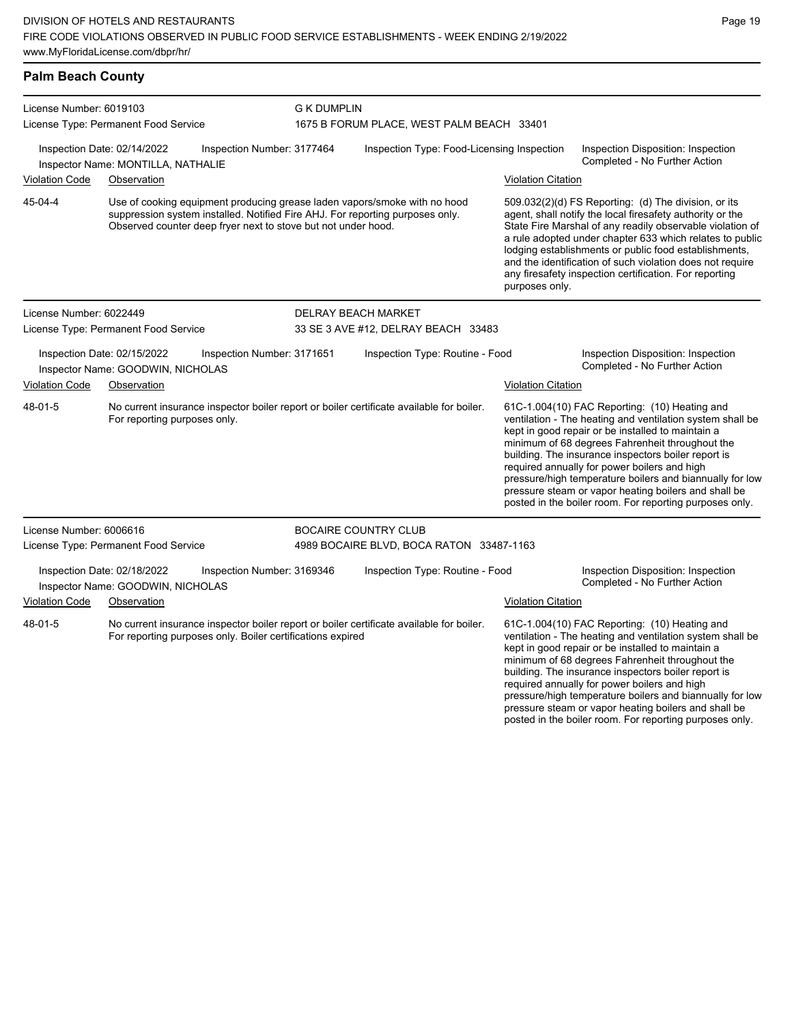| <b>Palm Beach County</b>                                                                        |                                                                                                                                                                                                                             |                                                            |                                            |                                                                                          |                                                                     |                                                                                                                                                                                                                                                                                                                                                                                                                                                                                                          |  |
|-------------------------------------------------------------------------------------------------|-----------------------------------------------------------------------------------------------------------------------------------------------------------------------------------------------------------------------------|------------------------------------------------------------|--------------------------------------------|------------------------------------------------------------------------------------------|---------------------------------------------------------------------|----------------------------------------------------------------------------------------------------------------------------------------------------------------------------------------------------------------------------------------------------------------------------------------------------------------------------------------------------------------------------------------------------------------------------------------------------------------------------------------------------------|--|
| License Number: 6019103<br>License Type: Permanent Food Service                                 |                                                                                                                                                                                                                             | <b>G K DUMPLIN</b>                                         | 1675 B FORUM PLACE, WEST PALM BEACH 33401  |                                                                                          |                                                                     |                                                                                                                                                                                                                                                                                                                                                                                                                                                                                                          |  |
| Inspection Date: 02/14/2022<br>Inspection Number: 3177464<br>Inspector Name: MONTILLA, NATHALIE |                                                                                                                                                                                                                             |                                                            | Inspection Type: Food-Licensing Inspection |                                                                                          | Inspection Disposition: Inspection<br>Completed - No Further Action |                                                                                                                                                                                                                                                                                                                                                                                                                                                                                                          |  |
| Violation Code                                                                                  | Observation                                                                                                                                                                                                                 |                                                            |                                            |                                                                                          | <b>Violation Citation</b>                                           |                                                                                                                                                                                                                                                                                                                                                                                                                                                                                                          |  |
| 45-04-4                                                                                         | Use of cooking equipment producing grease laden vapors/smoke with no hood<br>suppression system installed. Notified Fire AHJ. For reporting purposes only.<br>Observed counter deep fryer next to stove but not under hood. |                                                            |                                            |                                                                                          |                                                                     | 509.032(2)(d) FS Reporting: (d) The division, or its<br>agent, shall notify the local firesafety authority or the<br>State Fire Marshal of any readily observable violation of<br>a rule adopted under chapter 633 which relates to public<br>lodging establishments or public food establishments,<br>and the identification of such violation does not require<br>any firesafety inspection certification. For reporting<br>purposes only.                                                             |  |
| License Number: 6022449                                                                         |                                                                                                                                                                                                                             |                                                            | <b>DELRAY BEACH MARKET</b>                 |                                                                                          |                                                                     |                                                                                                                                                                                                                                                                                                                                                                                                                                                                                                          |  |
| License Type: Permanent Food Service                                                            |                                                                                                                                                                                                                             | 33 SE 3 AVE #12, DELRAY BEACH 33483                        |                                            |                                                                                          |                                                                     |                                                                                                                                                                                                                                                                                                                                                                                                                                                                                                          |  |
|                                                                                                 | Inspection Date: 02/15/2022<br>Inspector Name: GOODWIN, NICHOLAS                                                                                                                                                            | Inspection Number: 3171651                                 |                                            | Inspection Type: Routine - Food                                                          |                                                                     | Inspection Disposition: Inspection<br>Completed - No Further Action                                                                                                                                                                                                                                                                                                                                                                                                                                      |  |
| Violation Code                                                                                  | Observation                                                                                                                                                                                                                 |                                                            |                                            |                                                                                          | <b>Violation Citation</b>                                           |                                                                                                                                                                                                                                                                                                                                                                                                                                                                                                          |  |
| 48-01-5                                                                                         | For reporting purposes only.                                                                                                                                                                                                |                                                            |                                            | No current insurance inspector boiler report or boiler certificate available for boiler. |                                                                     | 61C-1.004(10) FAC Reporting: (10) Heating and<br>ventilation - The heating and ventilation system shall be<br>kept in good repair or be installed to maintain a<br>minimum of 68 degrees Fahrenheit throughout the<br>building. The insurance inspectors boiler report is<br>required annually for power boilers and high<br>pressure/high temperature boilers and biannually for low<br>pressure steam or vapor heating boilers and shall be<br>posted in the boiler room. For reporting purposes only. |  |
| License Number: 6006616                                                                         |                                                                                                                                                                                                                             |                                                            | <b>BOCAIRE COUNTRY CLUB</b>                |                                                                                          |                                                                     |                                                                                                                                                                                                                                                                                                                                                                                                                                                                                                          |  |
|                                                                                                 | License Type: Permanent Food Service                                                                                                                                                                                        |                                                            |                                            | 4989 BOCAIRE BLVD, BOCA RATON 33487-1163                                                 |                                                                     |                                                                                                                                                                                                                                                                                                                                                                                                                                                                                                          |  |
|                                                                                                 | Inspection Date: 02/18/2022<br>Inspector Name: GOODWIN, NICHOLAS                                                                                                                                                            | Inspection Number: 3169346                                 |                                            | Inspection Type: Routine - Food                                                          |                                                                     | Inspection Disposition: Inspection<br>Completed - No Further Action                                                                                                                                                                                                                                                                                                                                                                                                                                      |  |
| Violation Code                                                                                  | Observation                                                                                                                                                                                                                 |                                                            |                                            |                                                                                          | <b>Violation Citation</b>                                           |                                                                                                                                                                                                                                                                                                                                                                                                                                                                                                          |  |
| 48-01-5                                                                                         |                                                                                                                                                                                                                             | For reporting purposes only. Boiler certifications expired |                                            | No current insurance inspector boiler report or boiler certificate available for boiler. |                                                                     | 61C-1.004(10) FAC Reporting: (10) Heating and<br>ventilation - The heating and ventilation system shall be<br>kept in good repair or be installed to maintain a<br>minimum of 68 degrees Fahrenheit throughout the<br>building. The insurance inspectors boiler report is                                                                                                                                                                                                                                |  |

required annually for power boilers and high

pressure/high temperature boilers and biannually for low pressure steam or vapor heating boilers and shall be posted in the boiler room. For reporting purposes only.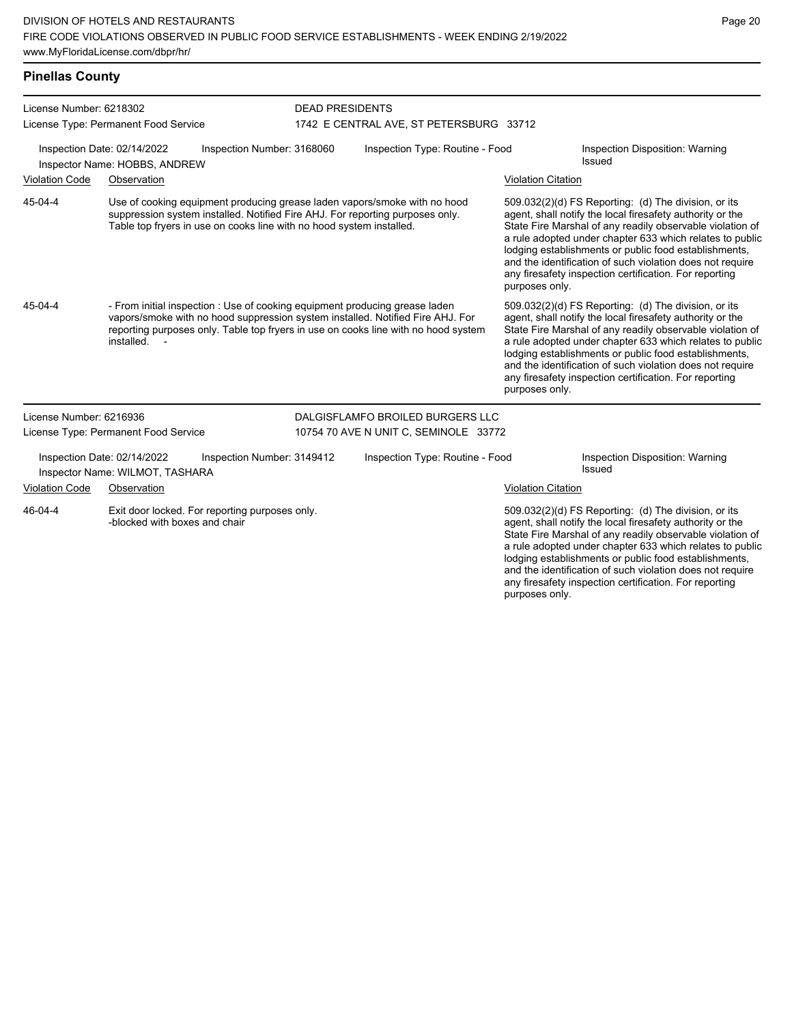# **Pinellas County**

| License Number: 6218302 |                                                                |                                                                      | <b>DEAD PRESIDENTS</b>          |                                                                                                                                                                                                                                                     |                           |                                                                                                                                                                                                                                                                                                                                                                                                                            |
|-------------------------|----------------------------------------------------------------|----------------------------------------------------------------------|---------------------------------|-----------------------------------------------------------------------------------------------------------------------------------------------------------------------------------------------------------------------------------------------------|---------------------------|----------------------------------------------------------------------------------------------------------------------------------------------------------------------------------------------------------------------------------------------------------------------------------------------------------------------------------------------------------------------------------------------------------------------------|
|                         | License Type: Permanent Food Service                           |                                                                      |                                 | 1742 E CENTRAL AVE, ST PETERSBURG 33712                                                                                                                                                                                                             |                           |                                                                                                                                                                                                                                                                                                                                                                                                                            |
|                         | Inspection Date: 02/14/2022<br>Inspector Name: HOBBS, ANDREW   | Inspection Number: 3168060                                           | Inspection Type: Routine - Food |                                                                                                                                                                                                                                                     |                           | Inspection Disposition: Warning<br>Issued                                                                                                                                                                                                                                                                                                                                                                                  |
| <b>Violation Code</b>   | Observation                                                    |                                                                      |                                 |                                                                                                                                                                                                                                                     | <b>Violation Citation</b> |                                                                                                                                                                                                                                                                                                                                                                                                                            |
| 45-04-4                 |                                                                | Table top fryers in use on cooks line with no hood system installed. |                                 | Use of cooking equipment producing grease laden vapors/smoke with no hood<br>suppression system installed. Notified Fire AHJ. For reporting purposes only.                                                                                          | purposes only.            | 509.032(2)(d) FS Reporting: (d) The division, or its<br>agent, shall notify the local firesafety authority or the<br>State Fire Marshal of any readily observable violation of<br>a rule adopted under chapter 633 which relates to public<br>lodging establishments or public food establishments,<br>and the identification of such violation does not require<br>any firesafety inspection certification. For reporting |
| 45-04-4                 | installed. -                                                   |                                                                      |                                 | - From initial inspection : Use of cooking equipment producing grease laden<br>vapors/smoke with no hood suppression system installed. Notified Fire AHJ. For<br>reporting purposes only. Table top fryers in use on cooks line with no hood system | purposes only.            | 509.032(2)(d) FS Reporting: (d) The division, or its<br>agent, shall notify the local firesafety authority or the<br>State Fire Marshal of any readily observable violation of<br>a rule adopted under chapter 633 which relates to public<br>lodging establishments or public food establishments,<br>and the identification of such violation does not require<br>any firesafety inspection certification. For reporting |
| License Number: 6216936 |                                                                |                                                                      |                                 | DALGISFLAMFO BROILED BURGERS LLC                                                                                                                                                                                                                    |                           |                                                                                                                                                                                                                                                                                                                                                                                                                            |
|                         | License Type: Permanent Food Service                           |                                                                      |                                 | 10754 70 AVE N UNIT C, SEMINOLE 33772                                                                                                                                                                                                               |                           |                                                                                                                                                                                                                                                                                                                                                                                                                            |
|                         | Inspection Date: 02/14/2022<br>Inspector Name: WILMOT, TASHARA | Inspection Number: 3149412                                           |                                 | Inspection Type: Routine - Food                                                                                                                                                                                                                     |                           | Inspection Disposition: Warning<br><b>Issued</b>                                                                                                                                                                                                                                                                                                                                                                           |
| <b>Violation Code</b>   | Observation                                                    |                                                                      |                                 |                                                                                                                                                                                                                                                     | <b>Violation Citation</b> |                                                                                                                                                                                                                                                                                                                                                                                                                            |
| 46-04-4                 | -blocked with boxes and chair                                  | Exit door locked. For reporting purposes only.                       |                                 |                                                                                                                                                                                                                                                     | purposes only.            | 509.032(2)(d) FS Reporting: (d) The division, or its<br>agent, shall notify the local firesafety authority or the<br>State Fire Marshal of any readily observable violation of<br>a rule adopted under chapter 633 which relates to public<br>lodging establishments or public food establishments,<br>and the identification of such violation does not require<br>any firesafety inspection certification. For reporting |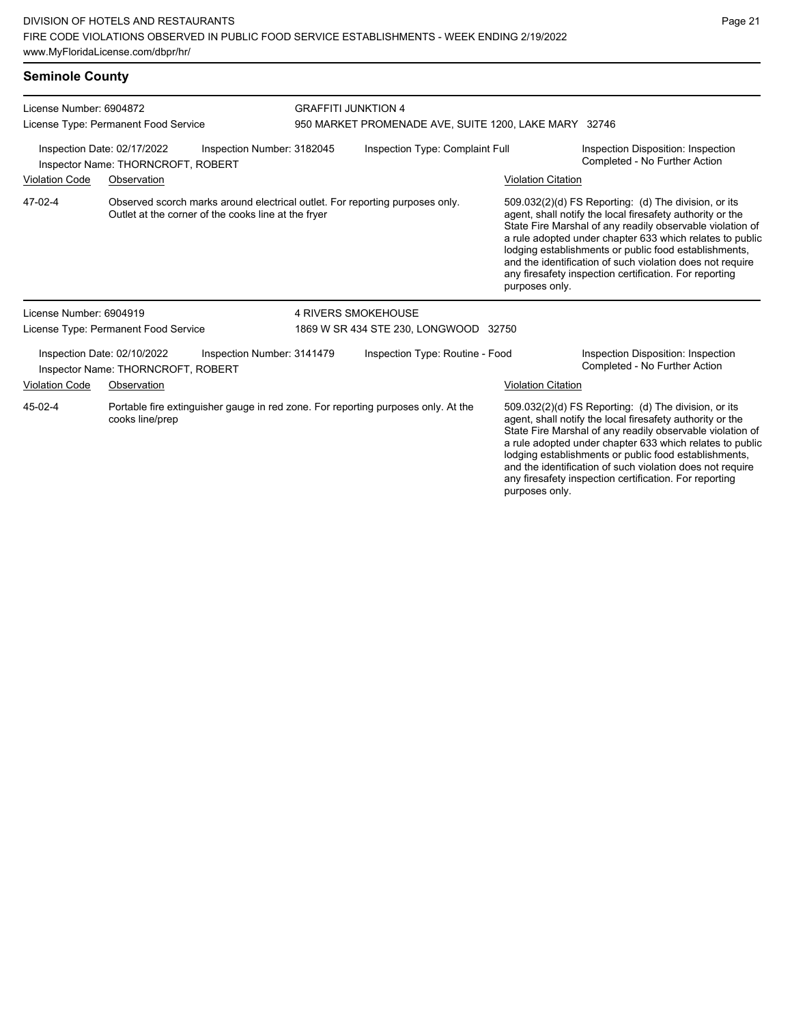### **Seminole County**

| License Number: 6904872                                                                         |                                                                   |                                                     | <b>GRAFFITI JUNKTION 4</b>                            |                                                                                   |                           |                                                                                                                                                                                                                                                                                                                                                                                                                            |  |
|-------------------------------------------------------------------------------------------------|-------------------------------------------------------------------|-----------------------------------------------------|-------------------------------------------------------|-----------------------------------------------------------------------------------|---------------------------|----------------------------------------------------------------------------------------------------------------------------------------------------------------------------------------------------------------------------------------------------------------------------------------------------------------------------------------------------------------------------------------------------------------------------|--|
|                                                                                                 | License Type: Permanent Food Service                              |                                                     | 950 MARKET PROMENADE AVE, SUITE 1200, LAKE MARY 32746 |                                                                                   |                           |                                                                                                                                                                                                                                                                                                                                                                                                                            |  |
| Inspection Number: 3182045<br>Inspection Date: 02/17/2022<br>Inspector Name: THORNCROFT, ROBERT |                                                                   |                                                     |                                                       | Inspection Type: Complaint Full                                                   |                           | Inspection Disposition: Inspection<br>Completed - No Further Action                                                                                                                                                                                                                                                                                                                                                        |  |
| <b>Violation Code</b>                                                                           | Observation                                                       |                                                     |                                                       |                                                                                   | <b>Violation Citation</b> |                                                                                                                                                                                                                                                                                                                                                                                                                            |  |
| 47-02-4                                                                                         |                                                                   | Outlet at the corner of the cooks line at the fryer |                                                       | Observed scorch marks around electrical outlet. For reporting purposes only.      | purposes only.            | 509.032(2)(d) FS Reporting: (d) The division, or its<br>agent, shall notify the local firesafety authority or the<br>State Fire Marshal of any readily observable violation of<br>a rule adopted under chapter 633 which relates to public<br>lodging establishments or public food establishments,<br>and the identification of such violation does not require<br>any firesafety inspection certification. For reporting |  |
| License Number: 6904919                                                                         |                                                                   |                                                     | <b>4 RIVERS SMOKEHOUSE</b>                            |                                                                                   |                           |                                                                                                                                                                                                                                                                                                                                                                                                                            |  |
|                                                                                                 | License Type: Permanent Food Service                              |                                                     | 1869 W SR 434 STE 230, LONGWOOD 32750                 |                                                                                   |                           |                                                                                                                                                                                                                                                                                                                                                                                                                            |  |
|                                                                                                 | Inspection Date: 02/10/2022<br>Inspector Name: THORNCROFT, ROBERT | Inspection Number: 3141479                          |                                                       | Inspection Type: Routine - Food                                                   |                           | Inspection Disposition: Inspection<br>Completed - No Further Action                                                                                                                                                                                                                                                                                                                                                        |  |
| <b>Violation Code</b>                                                                           | Observation                                                       |                                                     |                                                       |                                                                                   | <b>Violation Citation</b> |                                                                                                                                                                                                                                                                                                                                                                                                                            |  |
| 45-02-4                                                                                         | cooks line/prep                                                   |                                                     |                                                       | Portable fire extinguisher gauge in red zone. For reporting purposes only. At the |                           | 509.032(2)(d) FS Reporting: (d) The division, or its<br>agent, shall notify the local firesafety authority or the<br>State Fire Marshal of any readily observable violation of<br>a rule adopted under chapter 633 which relates to public<br>lodging establishments or public food establishments,<br>and the identification of such violation does not require                                                           |  |

any firesafety inspection certification. For reporting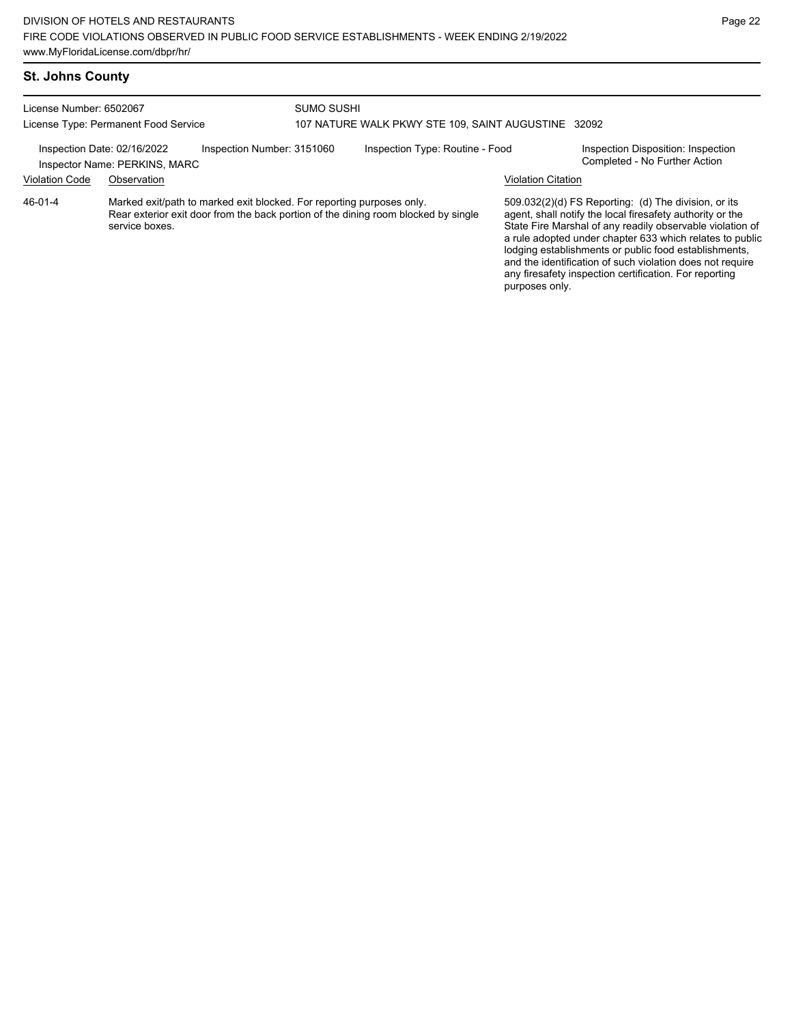| License Number: 6502067     | License Type: Permanent Food Service                                                                                                                                          | SUMO SUSHI<br>107 NATURE WALK PKWY STE 109, SAINT AUGUSTINE 32092 |                           |                                                                                                                                                                                                                                                                                                                                                                                                                            |
|-----------------------------|-------------------------------------------------------------------------------------------------------------------------------------------------------------------------------|-------------------------------------------------------------------|---------------------------|----------------------------------------------------------------------------------------------------------------------------------------------------------------------------------------------------------------------------------------------------------------------------------------------------------------------------------------------------------------------------------------------------------------------------|
| Inspection Date: 02/16/2022 | Inspection Number: 3151060<br>Inspector Name: PERKINS, MARC                                                                                                                   | Inspection Type: Routine - Food                                   |                           | Inspection Disposition: Inspection<br>Completed - No Further Action                                                                                                                                                                                                                                                                                                                                                        |
| <b>Violation Code</b>       | Observation                                                                                                                                                                   |                                                                   | <b>Violation Citation</b> |                                                                                                                                                                                                                                                                                                                                                                                                                            |
| 46-01-4                     | Marked exit/path to marked exit blocked. For reporting purposes only.<br>Rear exterior exit door from the back portion of the dining room blocked by single<br>service boxes. |                                                                   | purposes only.            | 509.032(2)(d) FS Reporting: (d) The division, or its<br>agent, shall notify the local firesafety authority or the<br>State Fire Marshal of any readily observable violation of<br>a rule adopted under chapter 633 which relates to public<br>lodging establishments or public food establishments,<br>and the identification of such violation does not require<br>any firesafety inspection certification. For reporting |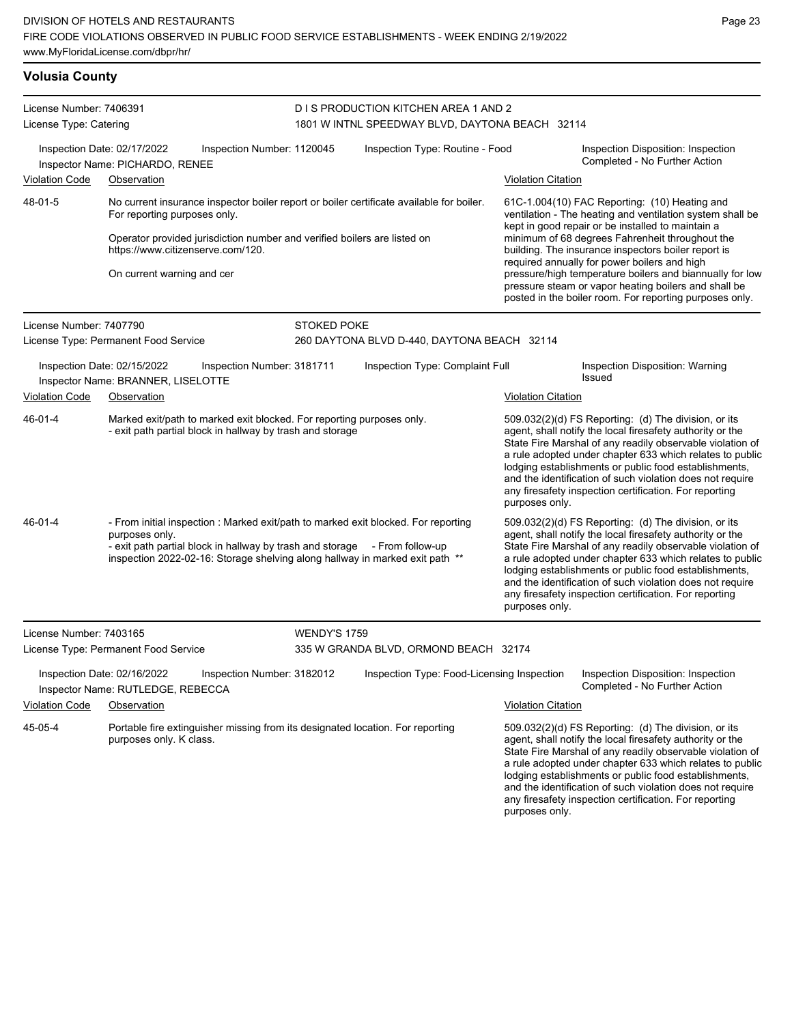| <b>Volusia County</b>                                                                                                                             |                                                                                                                                                                                                                                                                       |                            |                                                                                                                                                                     |                                                                                                                                                                                                                                                                                                                                                                                                                                              |                                                                     |  |  |
|---------------------------------------------------------------------------------------------------------------------------------------------------|-----------------------------------------------------------------------------------------------------------------------------------------------------------------------------------------------------------------------------------------------------------------------|----------------------------|---------------------------------------------------------------------------------------------------------------------------------------------------------------------|----------------------------------------------------------------------------------------------------------------------------------------------------------------------------------------------------------------------------------------------------------------------------------------------------------------------------------------------------------------------------------------------------------------------------------------------|---------------------------------------------------------------------|--|--|
| License Number: 7406391<br>License Type: Catering<br>Inspection Date: 02/17/2022<br>Inspection Number: 1120045<br>Inspector Name: PICHARDO, RENEE |                                                                                                                                                                                                                                                                       |                            | D I S PRODUCTION KITCHEN AREA 1 AND 2<br>1801 W INTNL SPEEDWAY BLVD, DAYTONA BEACH 32114                                                                            |                                                                                                                                                                                                                                                                                                                                                                                                                                              |                                                                     |  |  |
|                                                                                                                                                   |                                                                                                                                                                                                                                                                       |                            | Inspection Type: Routine - Food                                                                                                                                     |                                                                                                                                                                                                                                                                                                                                                                                                                                              | Inspection Disposition: Inspection<br>Completed - No Further Action |  |  |
| <b>Violation Code</b>                                                                                                                             | Observation                                                                                                                                                                                                                                                           |                            |                                                                                                                                                                     |                                                                                                                                                                                                                                                                                                                                                                                                                                              | <b>Violation Citation</b>                                           |  |  |
| 48-01-5                                                                                                                                           | No current insurance inspector boiler report or boiler certificate available for boiler.<br>For reporting purposes only.                                                                                                                                              |                            | $61C-1.004(10)$ FAC Reporting: $(10)$ Heating and<br>ventilation - The heating and ventilation system shall be<br>kept in good repair or be installed to maintain a |                                                                                                                                                                                                                                                                                                                                                                                                                                              |                                                                     |  |  |
|                                                                                                                                                   | Operator provided jurisdiction number and verified boilers are listed on<br>https://www.citizenserve.com/120.                                                                                                                                                         |                            | minimum of 68 degrees Fahrenheit throughout the<br>building. The insurance inspectors boiler report is                                                              |                                                                                                                                                                                                                                                                                                                                                                                                                                              |                                                                     |  |  |
|                                                                                                                                                   | On current warning and cer                                                                                                                                                                                                                                            |                            |                                                                                                                                                                     | required annually for power boilers and high<br>pressure/high temperature boilers and biannually for low<br>pressure steam or vapor heating boilers and shall be<br>posted in the boiler room. For reporting purposes only.                                                                                                                                                                                                                  |                                                                     |  |  |
| License Number: 7407790                                                                                                                           |                                                                                                                                                                                                                                                                       |                            | <b>STOKED POKE</b>                                                                                                                                                  |                                                                                                                                                                                                                                                                                                                                                                                                                                              |                                                                     |  |  |
| License Type: Permanent Food Service                                                                                                              |                                                                                                                                                                                                                                                                       |                            | 260 DAYTONA BLVD D-440, DAYTONA BEACH 32114                                                                                                                         |                                                                                                                                                                                                                                                                                                                                                                                                                                              |                                                                     |  |  |
| Inspection Date: 02/15/2022<br>Inspection Number: 3181711<br>Inspector Name: BRANNER, LISELOTTE                                                   |                                                                                                                                                                                                                                                                       |                            | Inspection Type: Complaint Full                                                                                                                                     |                                                                                                                                                                                                                                                                                                                                                                                                                                              | Inspection Disposition: Warning<br>Issued                           |  |  |
| <b>Violation Code</b>                                                                                                                             | Observation                                                                                                                                                                                                                                                           |                            |                                                                                                                                                                     |                                                                                                                                                                                                                                                                                                                                                                                                                                              | <b>Violation Citation</b>                                           |  |  |
| 46-01-4                                                                                                                                           | Marked exit/path to marked exit blocked. For reporting purposes only.<br>- exit path partial block in hallway by trash and storage                                                                                                                                    |                            |                                                                                                                                                                     | 509.032(2)(d) FS Reporting: (d) The division, or its<br>agent, shall notify the local firesafety authority or the<br>State Fire Marshal of any readily observable violation of<br>a rule adopted under chapter 633 which relates to public<br>lodging establishments or public food establishments,<br>and the identification of such violation does not require<br>any firesafety inspection certification. For reporting<br>purposes only. |                                                                     |  |  |
| 46-01-4                                                                                                                                           | - From initial inspection : Marked exit/path to marked exit blocked. For reporting<br>purposes only.<br>- exit path partial block in hallway by trash and storage<br>- From follow-up<br>inspection 2022-02-16: Storage shelving along hallway in marked exit path ** |                            |                                                                                                                                                                     | 509.032(2)(d) FS Reporting: (d) The division, or its<br>agent, shall notify the local firesafety authority or the<br>State Fire Marshal of any readily observable violation of<br>a rule adopted under chapter 633 which relates to public<br>lodging establishments or public food establishments,<br>and the identification of such violation does not require<br>any firesafety inspection certification. For reporting<br>purposes only. |                                                                     |  |  |
| License Number: 7403165                                                                                                                           |                                                                                                                                                                                                                                                                       | <b>WENDY'S 1759</b>        |                                                                                                                                                                     |                                                                                                                                                                                                                                                                                                                                                                                                                                              |                                                                     |  |  |
| License Type: Permanent Food Service                                                                                                              |                                                                                                                                                                                                                                                                       |                            | 335 W GRANDA BLVD, ORMOND BEACH 32174                                                                                                                               |                                                                                                                                                                                                                                                                                                                                                                                                                                              |                                                                     |  |  |
|                                                                                                                                                   | Inspection Date: 02/16/2022<br>Inspector Name: RUTLEDGE, REBECCA                                                                                                                                                                                                      | Inspection Number: 3182012 | Inspection Type: Food-Licensing Inspection                                                                                                                          |                                                                                                                                                                                                                                                                                                                                                                                                                                              | Inspection Disposition: Inspection<br>Completed - No Further Action |  |  |
| <b>Violation Code</b><br>Observation                                                                                                              |                                                                                                                                                                                                                                                                       |                            |                                                                                                                                                                     |                                                                                                                                                                                                                                                                                                                                                                                                                                              | <b>Violation Citation</b>                                           |  |  |
| 45-05-4<br>Portable fire extinguisher missing from its designated location. For reporting<br>purposes only. K class.                              |                                                                                                                                                                                                                                                                       |                            |                                                                                                                                                                     | 509.032(2)(d) FS Reporting: (d) The division, or its<br>agent, shall notify the local firesafety authority or the<br>State Fire Marshal of any readily observable violation of<br>a rule adopted under chapter 633 which relates to public<br>lodging establishments or public food establishments,<br>and the identification of such violation does not require<br>any firesafety inspection certification. For reporting<br>purposes only. |                                                                     |  |  |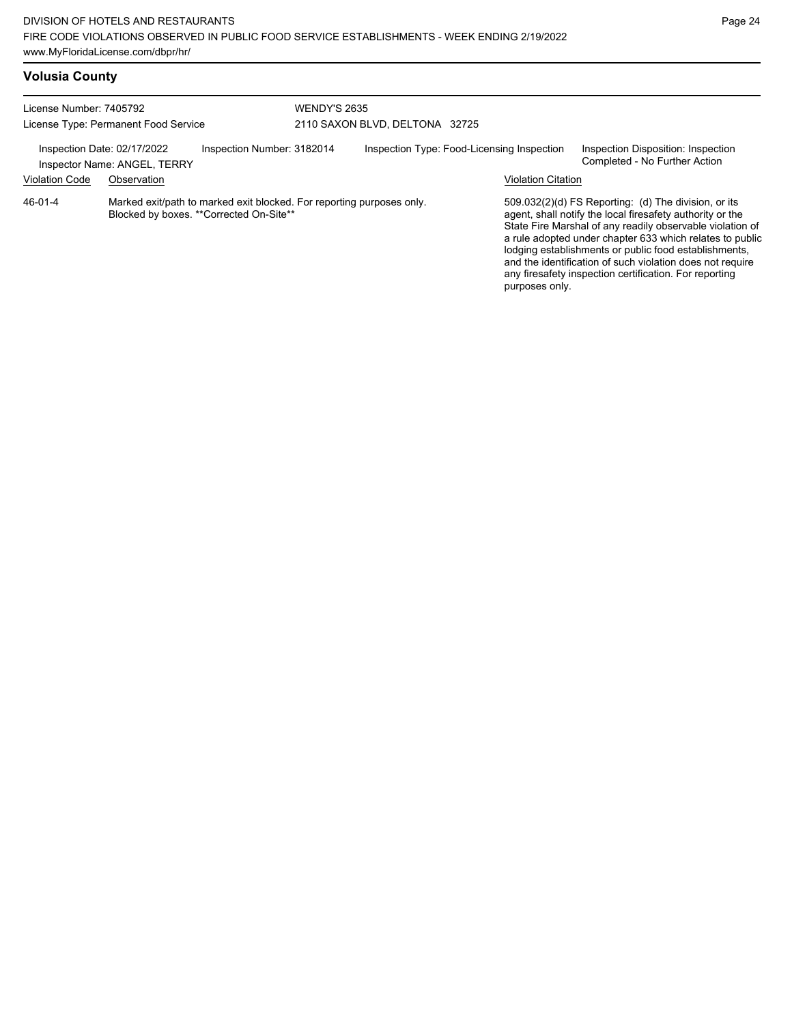| License Number: 7405792<br>License Type: Permanent Food Service                           |             |                                         | <b>WENDY'S 2635</b>            |                                                                       |  |                                                                                                                                                                                                                                                                                                                                                                                                                                              |                                                                     |  |
|-------------------------------------------------------------------------------------------|-------------|-----------------------------------------|--------------------------------|-----------------------------------------------------------------------|--|----------------------------------------------------------------------------------------------------------------------------------------------------------------------------------------------------------------------------------------------------------------------------------------------------------------------------------------------------------------------------------------------------------------------------------------------|---------------------------------------------------------------------|--|
|                                                                                           |             |                                         | 2110 SAXON BLVD, DELTONA 32725 |                                                                       |  |                                                                                                                                                                                                                                                                                                                                                                                                                                              |                                                                     |  |
| Inspection Date: 02/17/2022<br>Inspection Number: 3182014<br>Inspector Name: ANGEL, TERRY |             |                                         |                                | Inspection Type: Food-Licensing Inspection                            |  |                                                                                                                                                                                                                                                                                                                                                                                                                                              | Inspection Disposition: Inspection<br>Completed - No Further Action |  |
| <b>Violation Code</b>                                                                     | Observation |                                         |                                |                                                                       |  | <b>Violation Citation</b>                                                                                                                                                                                                                                                                                                                                                                                                                    |                                                                     |  |
| 46-01-4                                                                                   |             | Blocked by boxes. **Corrected On-Site** |                                | Marked exit/path to marked exit blocked. For reporting purposes only. |  | 509.032(2)(d) FS Reporting: (d) The division, or its<br>agent, shall notify the local firesafety authority or the<br>State Fire Marshal of any readily observable violation of<br>a rule adopted under chapter 633 which relates to public<br>lodging establishments or public food establishments,<br>and the identification of such violation does not require<br>any firesafety inspection certification. For reporting<br>purposes only. |                                                                     |  |